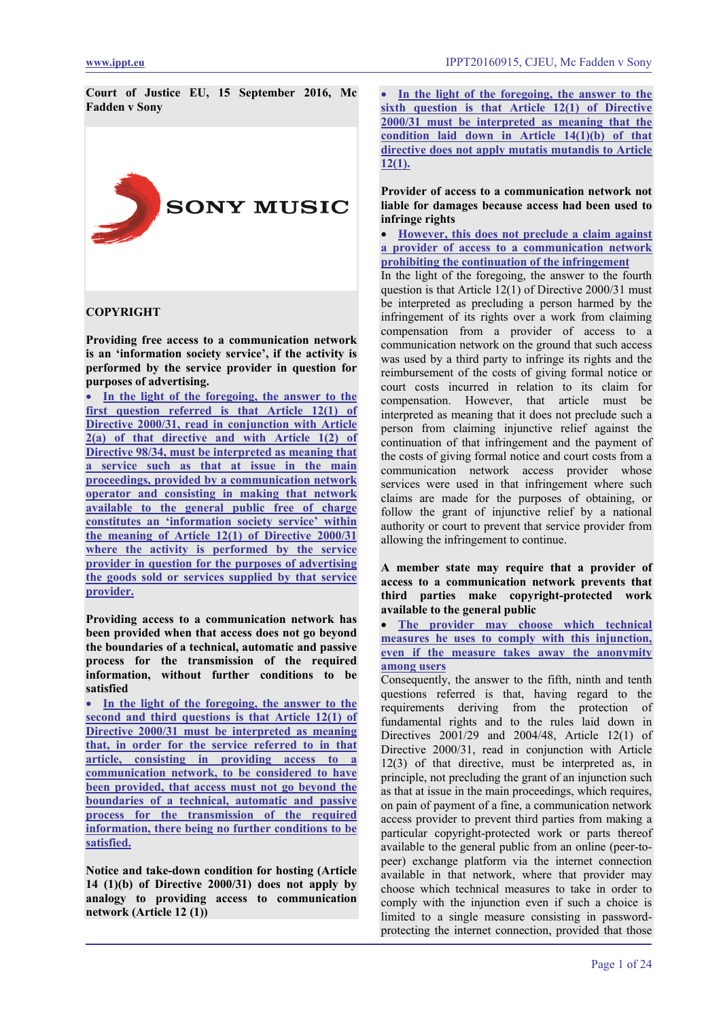**Court of Justice EU, 15 September 2016, Mc Fadden v Sony**



# **COPYRIGHT**

**Providing free access to a communication network is an 'information society service', if the activity is performed by the service provider in question for purposes of advertising.** 

• **[In the light of the foregoing, the answer to the](#page-5-0)  [first question referred is that Article 12\(1\) of](#page-5-0)  [Directive 2000/31, read in conjunction with Article](#page-5-0)  [2\(a\) of that directive and with Article 1\(2\) of](#page-5-0)  [Directive 98/34, must be interpreted as meaning that](#page-5-0)  [a service such as that at issue in the main](#page-5-0)  [proceedings, provided by a communication network](#page-5-0)  [operator and consisting in making that network](#page-5-0)  [available to the general public free of charge](#page-5-0)  [constitutes an 'information society service'](#page-5-0) within [the meaning of Article 12\(1\) of Directive 2000/31](#page-5-0)  [where the activity is performed by the service](#page-5-0)  [provider in question for the purposes of advertising](#page-5-0)  [the goods sold or services supplied by that service](#page-5-0)  [provider.](#page-5-0)**

**Providing access to a communication network has been provided when that access does not go beyond the boundaries of a technical, automatic and passive process for the transmission of the required information, without further conditions to be satisfied**

In the light of the foregoing, the answer to the **[second and third questions is that Article 12\(1\) of](#page-6-0)  [Directive 2000/31 must be interpreted as meaning](#page-6-0)  [that, in order for the service](#page-6-0) referred to in that [article, consisting in providing access to a](#page-6-0)  [communication network, to be considered to have](#page-6-0)  [been provided, that access must not go beyond the](#page-6-0)  [boundaries of a technical, automatic and passive](#page-6-0)  [process for the transmission of the required](#page-6-0)  [information, there being no further conditions to be](#page-6-0)  [satisfied.](#page-6-0)**

**Notice and take-down condition for hosting (Article 14 (1)(b) of Directive 2000/31) does not apply by analogy to providing access to communication network (Article 12 (1))**

In the light of the foregoing, the answer to the **[sixth question is that Article 12\(1\) of Directive](#page-7-0)  [2000/31 must be interpreted as meaning that the](#page-7-0)  [condition laid down in Article 14\(1\)\(b\) of that](#page-7-0)  [directive does not apply mutatis mutandis to Article](#page-7-0)  [12\(1\).](#page-7-0)**

**Provider of access to a communication network not liable for damages because access had been used to infringe rights**

• **[However, this does not preclude a claim against](#page-7-1)  a [provider of access to a communication network](#page-7-1)  [prohibiting the continuation of the infringement](#page-7-1)**

In the light of the foregoing, the answer to the fourth question is that Article  $12(1)$  of Directive 2000/31 must be interpreted as precluding a person harmed by the infringement of its rights over a work from claiming compensation from a provider of access to a communication network on the ground that such access was used by a third party to infringe its rights and the reimbursement of the costs of giving formal notice or court costs incurred in relation to its claim for compensation. However, that article must be interpreted as meaning that it does not preclude such a person from claiming injunctive relief against the continuation of that infringement and the payment of the costs of giving formal notice and court costs from a communication network access provider whose services were used in that infringement where such claims are made for the purposes of obtaining, or follow the grant of injunctive relief by a national authority or court to prevent that service provider from allowing the infringement to continue.

**A member state may require that a provider of access to a communication network prevents that third parties make copyright-protected work available to the general public**

• **The provider may [choose which technical](#page-9-0)  [measures he uses to comply with this injunction,](#page-9-0)  [even if the measure takes away the anonymity](#page-9-0)  [among users](#page-9-0)**

Consequently, the answer to the fifth, ninth and tenth questions referred is that, having regard to the requirements deriving from the protection of fundamental rights and to the rules laid down in Directives 2001/29 and 2004/48, Article 12(1) of Directive 2000/31, read in conjunction with Article 12(3) of that directive, must be interpreted as, in principle, not precluding the grant of an injunction such as that at issue in the main proceedings, which requires, on pain of payment of a fine, a communication network access provider to prevent third parties from making a particular copyright-protected work or parts thereof available to the general public from an online (peer-topeer) exchange platform via the internet connection available in that network, where that provider may choose which technical measures to take in order to comply with the injunction even if such a choice is limited to a single measure consisting in passwordprotecting the internet connection, provided that those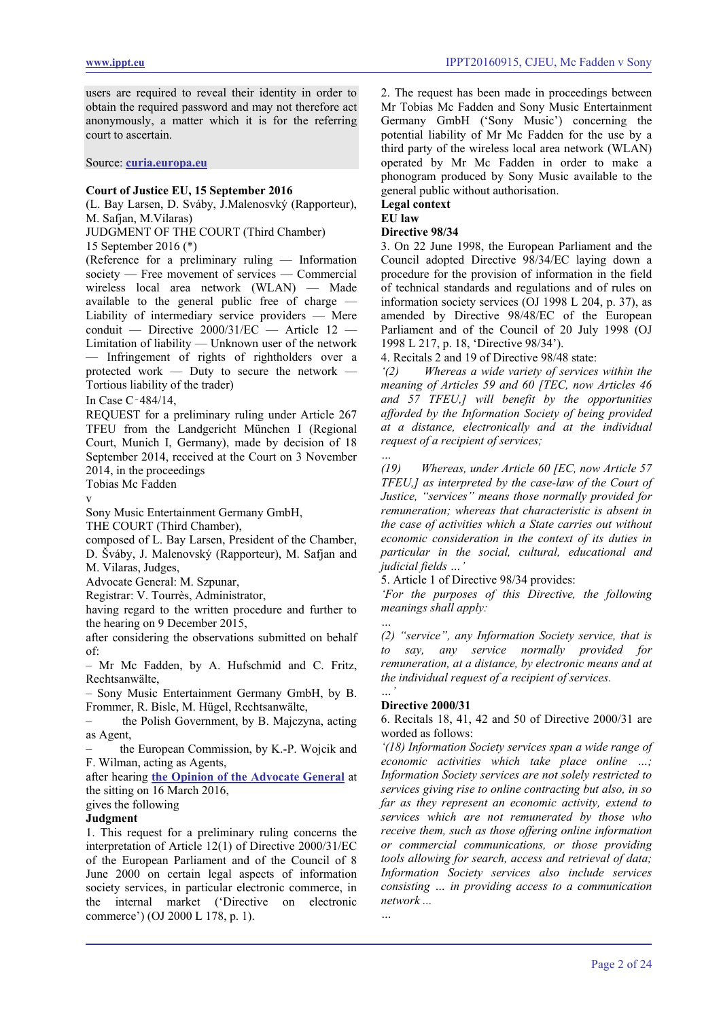users are required to reveal their identity in order to obtain the required password and may not therefore act anonymously, a matter which it is for the referring court to ascertain.

#### Source: **[curia.europa.eu](http://curia.europa.eu/juris/liste.jsf?language=en&jur=C,T,F&num=C-484/14&td=ALL)**

## **Court of Justice EU, 15 September 2016**

(L. Bay Larsen, D. Sváby, J.Malenosvký (Rapporteur), M. Safjan, M.Vilaras)

JUDGMENT OF THE COURT (Third Chamber)

#### 15 September 2016 (\*)

(Reference for a preliminary ruling — Information society — Free movement of services — Commercial wireless local area network (WLAN) — Made available to the general public free of charge — Liability of intermediary service providers — Mere conduit — Directive 2000/31/EC — Article 12 — Limitation of liability — Unknown user of the network — Infringement of rights of rightholders over a protected work — Duty to secure the network — Tortious liability of the trader)

In Case C‑484/14,

REQUEST for a preliminary ruling under Article 267 TFEU from the Landgericht München I (Regional Court, Munich I, Germany), made by decision of 18 September 2014, received at the Court on 3 November 2014, in the proceedings

Tobias Mc Fadden

v

Sony Music Entertainment Germany GmbH,

THE COURT (Third Chamber),

composed of L. Bay Larsen, President of the Chamber, D. Šváby, J. Malenovský (Rapporteur), M. Safjan and M. Vilaras, Judges,

Advocate General: M. Szpunar,

Registrar: V. Tourrès, Administrator,

having regard to the written procedure and further to the hearing on 9 December 2015,

after considering the observations submitted on behalf of:

– Mr Mc Fadden, by A. Hufschmid and C. Fritz, Rechtsanwälte,

– Sony Music Entertainment Germany GmbH, by B. Frommer, R. Bisle, M. Hügel, Rechtsanwälte,

the Polish Government, by B. Majczyna, acting as Agent,

– the European Commission, by K.-P. Wojcik and F. Wilman, acting as Agents,

after hearing **[the Opinion of the Advocate General](#page-10-0)** at the sitting on 16 March 2016,

gives the following

## **Judgment**

1. This request for a preliminary ruling concerns the interpretation of Article 12(1) of Directive 2000/31/EC of the European Parliament and of the Council of 8 June 2000 on certain legal aspects of information society services, in particular electronic commerce, in the internal market ('Directive on electronic commerce') (OJ 2000 L 178, p. 1).

2. The request has been made in proceedings between Mr Tobias Mc Fadden and Sony Music Entertainment Germany GmbH ('Sony Music') concerning the potential liability of Mr Mc Fadden for the use by a third party of the wireless local area network (WLAN) operated by Mr Mc Fadden in order to make a phonogram produced by Sony Music available to the general public without authorisation.

**Legal context**

**EU law**

# **Directive 98/34**

3. On 22 June 1998, the European Parliament and the Council adopted Directive 98/34/EC laying down a procedure for the provision of information in the field of technical standards and regulations and of rules on information society services (OJ 1998 L 204, p. 37), as amended by Directive 98/48/EC of the European Parliament and of the Council of 20 July 1998 (OJ 1998 L 217, p. 18, 'Directive 98/34').

4. Recitals 2 and 19 of Directive 98/48 state:

*'(2) Whereas a wide variety of services within the meaning of Articles 59 and 60 [TEC, now Articles 46 and 57 TFEU,] will benefit by the opportunities afforded by the Information Society of being provided at a distance, electronically and at the individual request of a recipient of services;*

# *… (19) Whereas, under Article 60 [EC, now Article 57 TFEU,] as interpreted by the case-law of the Court of Justice, "services" means those normally provided for remuneration; whereas that characteristic is absent in the case of activities which a State carries out without economic consideration in the context of its duties in particular in the social, cultural, educational and judicial fields …'*

5. Article 1 of Directive 98/34 provides:

*'For the purposes of this Directive, the following meanings shall apply:*

*(2) "service", any Information Society service, that is to say, any service normally provided for remuneration, at a distance, by electronic means and at the individual request of a recipient of services. …'*

# **Directive 2000/31**

*…*

6. Recitals 18, 41, 42 and 50 of Directive 2000/31 are worded as follows:

*'(18) Information Society services span a wide range of economic activities which take place online …; Information Society services are not solely restricted to services giving rise to online contracting but also, in so far as they represent an economic activity, extend to services which are not remunerated by those who receive them, such as those offering online information or commercial communications, or those providing tools allowing for search, access and retrieval of data; Information Society services also include services consisting … in providing access to a communication network ...*

*…*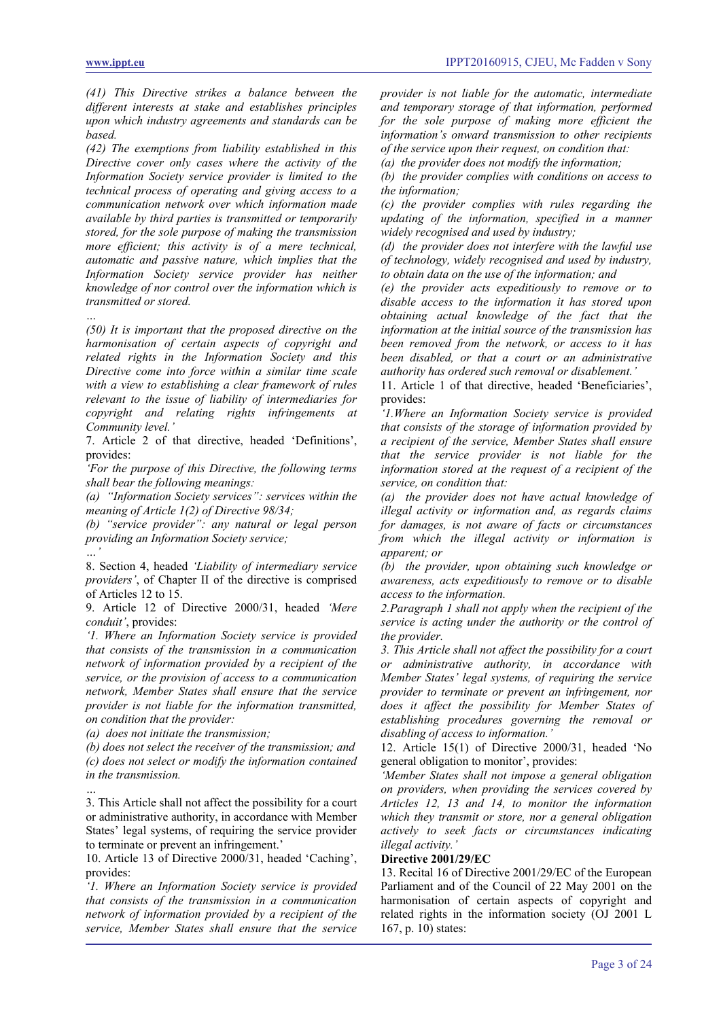*…*

*…*

*(41) This Directive strikes a balance between the different interests at stake and establishes principles upon which industry agreements and standards can be based.*

*(42) The exemptions from liability established in this Directive cover only cases where the activity of the Information Society service provider is limited to the technical process of operating and giving access to a communication network over which information made available by third parties is transmitted or temporarily stored, for the sole purpose of making the transmission more efficient; this activity is of a mere technical, automatic and passive nature, which implies that the Information Society service provider has neither knowledge of nor control over the information which is transmitted or stored.*

*(50) It is important that the proposed directive on the harmonisation of certain aspects of copyright and related rights in the Information Society and this Directive come into force within a similar time scale with a view to establishing a clear framework of rules relevant to the issue of liability of intermediaries for copyright and relating rights infringements at Community level.'*

7. Article 2 of that directive, headed 'Definitions', provides:

*'For the purpose of this Directive, the following terms shall bear the following meanings:*

*(a) "Information Society services": services within the meaning of Article 1(2) of Directive 98/34;*

*(b) "service provider": any natural or legal person providing an Information Society service; …'*

8. Section 4, headed *'Liability of intermediary service providers'*, of Chapter II of the directive is comprised of Articles 12 to 15.

9. Article 12 of Directive 2000/31, headed *'Mere conduit'*, provides:

*'1. Where an Information Society service is provided that consists of the transmission in a communication network of information provided by a recipient of the service, or the provision of access to a communication network, Member States shall ensure that the service provider is not liable for the information transmitted, on condition that the provider:*

*(a) does not initiate the transmission;*

*(b) does not select the receiver of the transmission; and (c) does not select or modify the information contained in the transmission.*

3. This Article shall not affect the possibility for a court or administrative authority, in accordance with Member States' legal systems, of requiring the service provider to terminate or prevent an infringement.'

10. Article 13 of Directive 2000/31, headed 'Caching', provides:

*'1. Where an Information Society service is provided that consists of the transmission in a communication network of information provided by a recipient of the service, Member States shall ensure that the service*  *provider is not liable for the automatic, intermediate and temporary storage of that information, performed for the sole purpose of making more efficient the information's onward transmission to other recipients of the service upon their request, on condition that:*

*(a) the provider does not modify the information;*

*(b) the provider complies with conditions on access to the information;*

*(c) the provider complies with rules regarding the updating of the information, specified in a manner widely recognised and used by industry;*

*(d) the provider does not interfere with the lawful use of technology, widely recognised and used by industry, to obtain data on the use of the information; and*

*(e) the provider acts expeditiously to remove or to disable access to the information it has stored upon obtaining actual knowledge of the fact that the information at the initial source of the transmission has been removed from the network, or access to it has been disabled, or that a court or an administrative authority has ordered such removal or disablement.'*

11. Article 1 of that directive, headed 'Beneficiaries', provides:

*'1.Where an Information Society service is provided that consists of the storage of information provided by a recipient of the service, Member States shall ensure that the service provider is not liable for the information stored at the request of a recipient of the service, on condition that:*

*(a) the provider does not have actual knowledge of illegal activity or information and, as regards claims for damages, is not aware of facts or circumstances from which the illegal activity or information is apparent; or*

*(b) the provider, upon obtaining such knowledge or awareness, acts expeditiously to remove or to disable access to the information.*

*2.Paragraph 1 shall not apply when the recipient of the service is acting under the authority or the control of the provider.*

*3. This Article shall not affect the possibility for a court or administrative authority, in accordance with Member States' legal systems, of requiring the service provider to terminate or prevent an infringement, nor does it affect the possibility for Member States of establishing procedures governing the removal or disabling of access to information.'*

12. Article 15(1) of Directive 2000/31, headed 'No general obligation to monitor', provides:

*'Member States shall not impose a general obligation on providers, when providing the services covered by Articles 12, 13 and 14, to monitor the information which they transmit or store, nor a general obligation actively to seek facts or circumstances indicating illegal activity.'*

#### **Directive 2001/29/EC**

13. Recital 16 of Directive 2001/29/EC of the European Parliament and of the Council of 22 May 2001 on the harmonisation of certain aspects of copyright and related rights in the information society (OJ 2001 L 167, p. 10) states: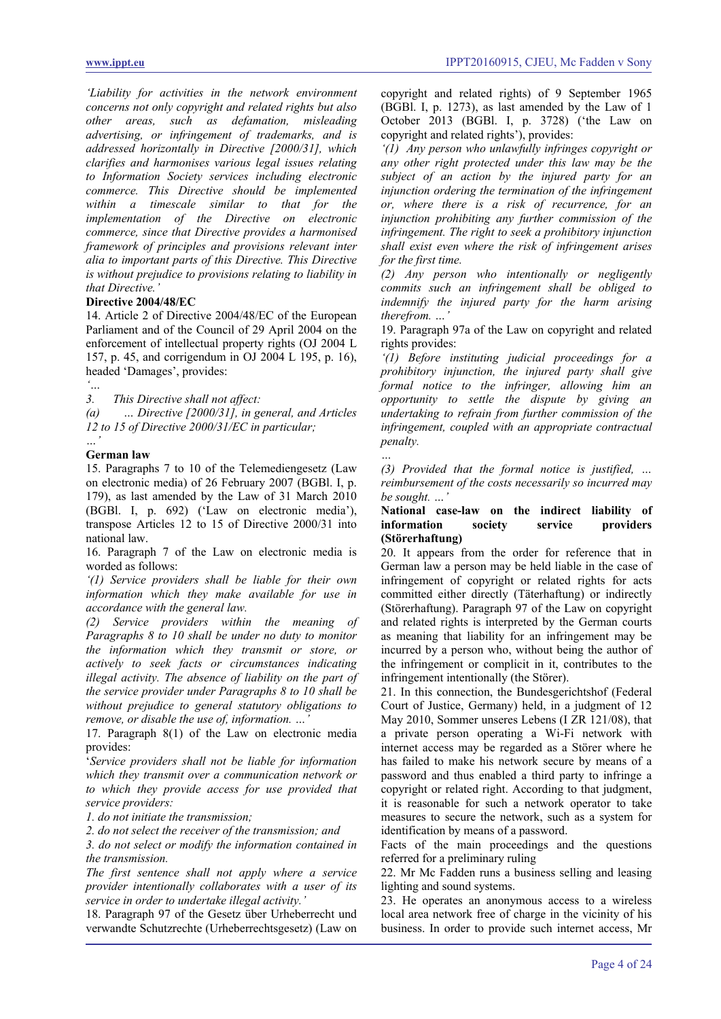*'Liability for activities in the network environment concerns not only copyright and related rights but also other areas, such as defamation, misleading advertising, or infringement of trademarks, and is addressed horizontally in Directive [2000/31], which clarifies and harmonises various legal issues relating to Information Society services including electronic commerce. This Directive should be implemented within a timescale similar to that for the implementation of the Directive on electronic commerce, since that Directive provides a harmonised framework of principles and provisions relevant inter alia to important parts of this Directive. This Directive is without prejudice to provisions relating to liability in that Directive.'*

## **Directive 2004/48/EC**

14. Article 2 of Directive 2004/48/EC of the European Parliament and of the Council of 29 April 2004 on the enforcement of intellectual property rights (OJ 2004 L 157, p. 45, and corrigendum in OJ 2004 L 195, p. 16), headed 'Damages', provides:

*'… 3. This Directive shall not affect:*

*(a) … Directive [2000/31], in general, and Articles 12 to 15 of Directive 2000/31/EC in particular; …'*

#### **German law**

15. Paragraphs 7 to 10 of the Telemediengesetz (Law on electronic media) of 26 February 2007 (BGBl. I, p. 179), as last amended by the Law of 31 March 2010 (BGBl. I, p. 692) ('Law on electronic media'), transpose Articles 12 to 15 of Directive 2000/31 into national law.

16. Paragraph 7 of the Law on electronic media is worded as follows:

*'(1) Service providers shall be liable for their own information which they make available for use in accordance with the general law.* 

*(2) Service providers within the meaning of Paragraphs 8 to 10 shall be under no duty to monitor the information which they transmit or store, or actively to seek facts or circumstances indicating illegal activity. The absence of liability on the part of the service provider under Paragraphs 8 to 10 shall be without prejudice to general statutory obligations to remove, or disable the use of, information. …'*

17. Paragraph 8(1) of the Law on electronic media provides:

'*Service providers shall not be liable for information which they transmit over a communication network or to which they provide access for use provided that service providers:* 

*1. do not initiate the transmission;*

*2. do not select the receiver of the transmission; and*

*3. do not select or modify the information contained in the transmission.*

*The first sentence shall not apply where a service provider intentionally collaborates with a user of its service in order to undertake illegal activity.'*

18. Paragraph 97 of the Gesetz über Urheberrecht und verwandte Schutzrechte (Urheberrechtsgesetz) (Law on copyright and related rights) of 9 September 1965 (BGBl. I, p. 1273), as last amended by the Law of 1 October 2013 (BGBl. I, p. 3728) ('the Law on copyright and related rights'), provides:

*'(1) Any person who unlawfully infringes copyright or any other right protected under this law may be the subject of an action by the injured party for an injunction ordering the termination of the infringement or, where there is a risk of recurrence, for an injunction prohibiting any further commission of the infringement. The right to seek a prohibitory injunction shall exist even where the risk of infringement arises for the first time.* 

*(2) Any person who intentionally or negligently commits such an infringement shall be obliged to indemnify the injured party for the harm arising therefrom. …'*

19. Paragraph 97a of the Law on copyright and related rights provides:

*'(1) Before instituting judicial proceedings for a prohibitory injunction, the injured party shall give formal notice to the infringer, allowing him an opportunity to settle the dispute by giving an undertaking to refrain from further commission of the infringement, coupled with an appropriate contractual penalty.*

*(3) Provided that the formal notice is justified, … reimbursement of the costs necessarily so incurred may be sought. …'*

*…*

# **National case-law on the indirect liability of information society service providers (Störerhaftung)**

20. It appears from the order for reference that in German law a person may be held liable in the case of infringement of copyright or related rights for acts committed either directly (Täterhaftung) or indirectly (Störerhaftung). Paragraph 97 of the Law on copyright and related rights is interpreted by the German courts as meaning that liability for an infringement may be incurred by a person who, without being the author of the infringement or complicit in it, contributes to the infringement intentionally (the Störer).

21. In this connection, the Bundesgerichtshof (Federal Court of Justice, Germany) held, in a judgment of 12 May 2010, Sommer unseres Lebens (I ZR 121/08), that a private person operating a Wi-Fi network with internet access may be regarded as a Störer where he has failed to make his network secure by means of a password and thus enabled a third party to infringe a copyright or related right. According to that judgment, it is reasonable for such a network operator to take measures to secure the network, such as a system for identification by means of a password.

Facts of the main proceedings and the questions referred for a preliminary ruling

22. Mr Mc Fadden runs a business selling and leasing lighting and sound systems.

23. He operates an anonymous access to a wireless local area network free of charge in the vicinity of his business. In order to provide such internet access, Mr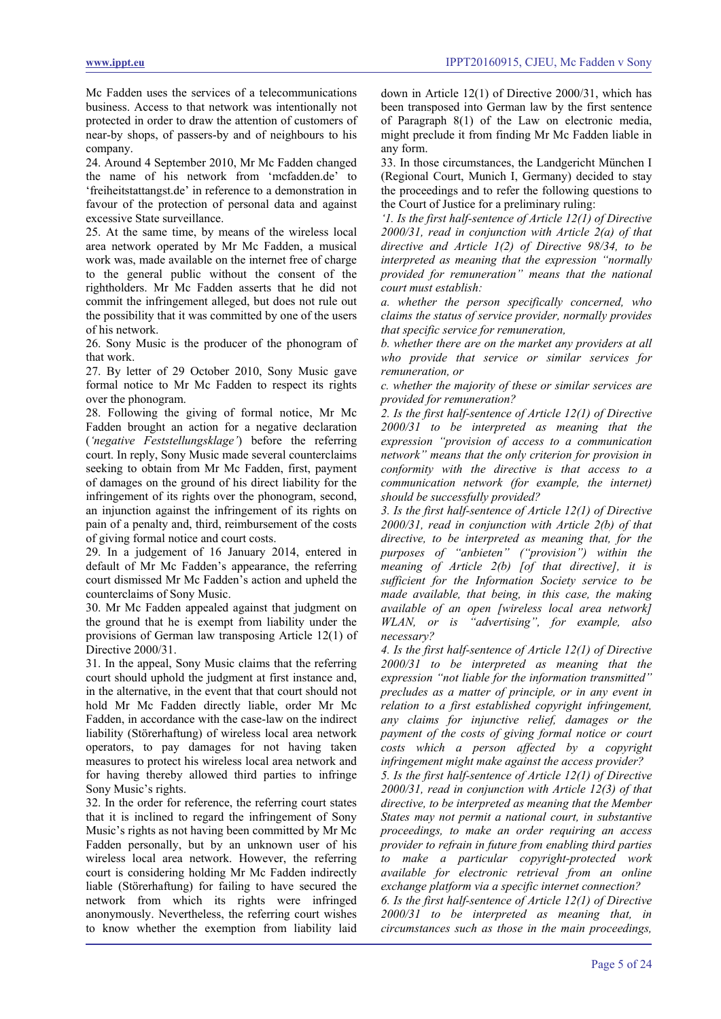Mc Fadden uses the services of a telecommunications business. Access to that network was intentionally not protected in order to draw the attention of customers of near-by shops, of passers-by and of neighbours to his company.

24. Around 4 September 2010, Mr Mc Fadden changed the name of his network from 'mcfadden.de' to 'freiheitstattangst.de' in reference to a demonstration in favour of the protection of personal data and against excessive State surveillance.

25. At the same time, by means of the wireless local area network operated by Mr Mc Fadden, a musical work was, made available on the internet free of charge to the general public without the consent of the rightholders. Mr Mc Fadden asserts that he did not commit the infringement alleged, but does not rule out the possibility that it was committed by one of the users of his network.

26. Sony Music is the producer of the phonogram of that work.

27. By letter of 29 October 2010, Sony Music gave formal notice to Mr Mc Fadden to respect its rights over the phonogram.

28. Following the giving of formal notice, Mr Mc Fadden brought an action for a negative declaration (*'negative Feststellungsklage'*) before the referring court. In reply, Sony Music made several counterclaims seeking to obtain from Mr Mc Fadden, first, payment of damages on the ground of his direct liability for the infringement of its rights over the phonogram, second, an injunction against the infringement of its rights on pain of a penalty and, third, reimbursement of the costs of giving formal notice and court costs.

29. In a judgement of 16 January 2014, entered in default of Mr Mc Fadden's appearance, the referring court dismissed Mr Mc Fadden's action and upheld the counterclaims of Sony Music.

30. Mr Mc Fadden appealed against that judgment on the ground that he is exempt from liability under the provisions of German law transposing Article 12(1) of Directive 2000/31.

31. In the appeal, Sony Music claims that the referring court should uphold the judgment at first instance and, in the alternative, in the event that that court should not hold Mr Mc Fadden directly liable, order Mr Mc Fadden, in accordance with the case-law on the indirect liability (Störerhaftung) of wireless local area network operators, to pay damages for not having taken measures to protect his wireless local area network and for having thereby allowed third parties to infringe Sony Music's rights.

32. In the order for reference, the referring court states that it is inclined to regard the infringement of Sony Music's rights as not having been committed by Mr Mc Fadden personally, but by an unknown user of his wireless local area network. However, the referring court is considering holding Mr Mc Fadden indirectly liable (Störerhaftung) for failing to have secured the network from which its rights were infringed anonymously. Nevertheless, the referring court wishes to know whether the exemption from liability laid down in Article 12(1) of Directive 2000/31, which has been transposed into German law by the first sentence of Paragraph 8(1) of the Law on electronic media, might preclude it from finding Mr Mc Fadden liable in any form.

33. In those circumstances, the Landgericht München I (Regional Court, Munich I, Germany) decided to stay the proceedings and to refer the following questions to the Court of Justice for a preliminary ruling:

*'1. Is the first half-sentence of Article 12(1) of Directive 2000/31, read in conjunction with Article 2(a) of that directive and Article 1(2) of Directive 98/34, to be interpreted as meaning that the expression "normally provided for remuneration" means that the national court must establish:*

*a. whether the person specifically concerned, who claims the status of service provider, normally provides that specific service for remuneration,*

*b. whether there are on the market any providers at all who provide that service or similar services for remuneration, or*

*c. whether the majority of these or similar services are provided for remuneration?*

*2. Is the first half-sentence of Article 12(1) of Directive 2000/31 to be interpreted as meaning that the expression "provision of access to a communication network" means that the only criterion for provision in conformity with the directive is that access to a communication network (for example, the internet) should be successfully provided?*

*3. Is the first half-sentence of Article 12(1) of Directive 2000/31, read in conjunction with Article 2(b) of that directive, to be interpreted as meaning that, for the purposes of "anbieten" ("provision") within the meaning of Article 2(b) [of that directive], it is sufficient for the Information Society service to be made available, that being, in this case, the making available of an open [wireless local area network] WLAN, or is "advertising", for example, also necessary?*

*4. Is the first half-sentence of Article 12(1) of Directive 2000/31 to be interpreted as meaning that the expression "not liable for the information transmitted" precludes as a matter of principle, or in any event in relation to a first established copyright infringement, any claims for injunctive relief, damages or the payment of the costs of giving formal notice or court costs which a person affected by a copyright infringement might make against the access provider?*

*5. Is the first half-sentence of Article 12(1) of Directive 2000/31, read in conjunction with Article 12(3) of that directive, to be interpreted as meaning that the Member States may not permit a national court, in substantive proceedings, to make an order requiring an access provider to refrain in future from enabling third parties to make a particular copyright-protected work available for electronic retrieval from an online exchange platform via a specific internet connection?*

*6. Is the first half-sentence of Article 12(1) of Directive 2000/31 to be interpreted as meaning that, in circumstances such as those in the main proceedings,*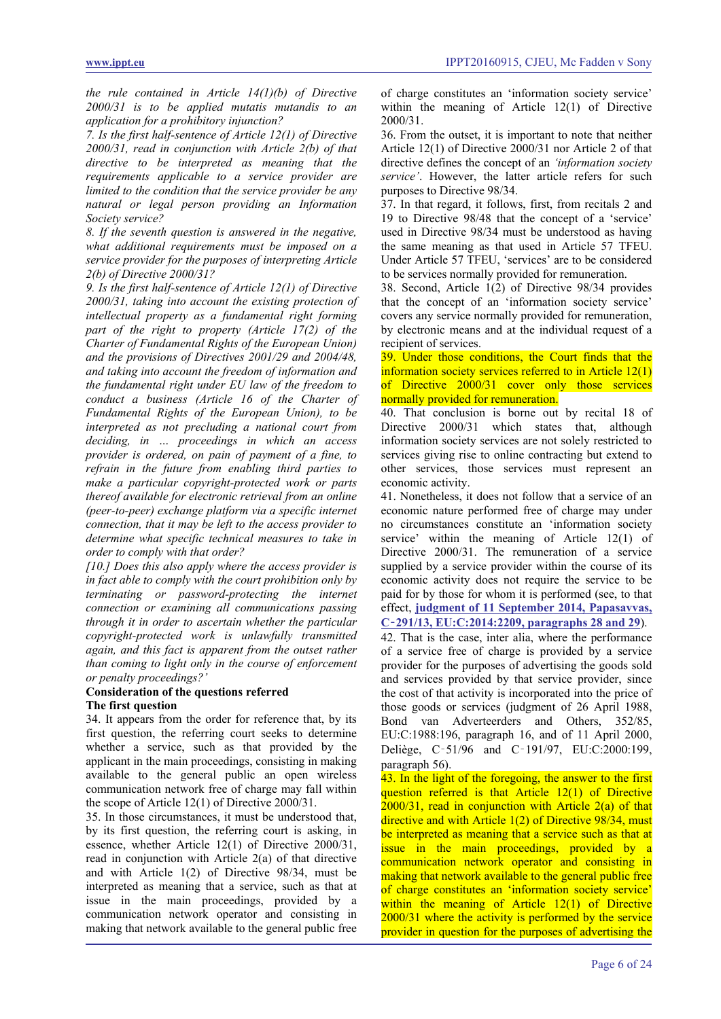*the rule contained in Article 14(1)(b) of Directive 2000/31 is to be applied mutatis mutandis to an application for a prohibitory injunction?*

*7. Is the first half-sentence of Article 12(1) of Directive 2000/31, read in conjunction with Article 2(b) of that directive to be interpreted as meaning that the requirements applicable to a service provider are limited to the condition that the service provider be any natural or legal person providing an Information Society service?*

*8. If the seventh question is answered in the negative, what additional requirements must be imposed on a service provider for the purposes of interpreting Article 2(b) of Directive 2000/31?*

*9. Is the first half-sentence of Article 12(1) of Directive 2000/31, taking into account the existing protection of intellectual property as a fundamental right forming part of the right to property (Article 17(2) of the Charter of Fundamental Rights of the European Union) and the provisions of Directives 2001/29 and 2004/48, and taking into account the freedom of information and the fundamental right under EU law of the freedom to conduct a business (Article 16 of the Charter of Fundamental Rights of the European Union), to be interpreted as not precluding a national court from deciding, in … proceedings in which an access provider is ordered, on pain of payment of a fine, to refrain in the future from enabling third parties to make a particular copyright-protected work or parts thereof available for electronic retrieval from an online (peer-to-peer) exchange platform via a specific internet connection, that it may be left to the access provider to determine what specific technical measures to take in order to comply with that order?*

*[10.] Does this also apply where the access provider is in fact able to comply with the court prohibition only by terminating or password-protecting the internet connection or examining all communications passing through it in order to ascertain whether the particular copyright-protected work is unlawfully transmitted again, and this fact is apparent from the outset rather than coming to light only in the course of enforcement or penalty proceedings?'*

#### **Consideration of the questions referred The first question**

34. It appears from the order for reference that, by its first question, the referring court seeks to determine whether a service, such as that provided by the applicant in the main proceedings, consisting in making available to the general public an open wireless communication network free of charge may fall within the scope of Article 12(1) of Directive 2000/31.

35. In those circumstances, it must be understood that, by its first question, the referring court is asking, in essence, whether Article 12(1) of Directive 2000/31, read in conjunction with Article 2(a) of that directive and with Article 1(2) of Directive 98/34, must be interpreted as meaning that a service, such as that at issue in the main proceedings, provided by a communication network operator and consisting in making that network available to the general public free of charge constitutes an 'information society service' within the meaning of Article 12(1) of Directive 2000/31.

36. From the outset, it is important to note that neither Article 12(1) of Directive 2000/31 nor Article 2 of that directive defines the concept of an *'information society service'*. However, the latter article refers for such purposes to Directive 98/34.

37. In that regard, it follows, first, from recitals 2 and 19 to Directive 98/48 that the concept of a 'service' used in Directive 98/34 must be understood as having the same meaning as that used in Article 57 TFEU. Under Article 57 TFEU, 'services' are to be considered to be services normally provided for remuneration.

38. Second, Article 1(2) of Directive 98/34 provides that the concept of an 'information society service' covers any service normally provided for remuneration, by electronic means and at the individual request of a recipient of services.

39. Under those conditions, the Court finds that the information society services referred to in Article 12(1) of Directive 2000/31 cover only those services normally provided for remuneration.

40. That conclusion is borne out by recital 18 of Directive 2000/31 which states that, although information society services are not solely restricted to services giving rise to online contracting but extend to other services, those services must represent an economic activity.

41. Nonetheless, it does not follow that a service of an economic nature performed free of charge may under no circumstances constitute an 'information society service' within the meaning of Article 12(1) of Directive 2000/31. The remuneration of a service supplied by a service provider within the course of its economic activity does not require the service to be paid for by those for whom it is performed (see, to that effect, **[judgment of 11 September 2014, Papasavvas,](http://www.ippt.eu/sites/default/files/2014/IPPT20140911_ECJ_Papasavvas_v_OFDE.pdf)  C**‑**[291/13, EU:C:2014:2209, paragraphs 28 and 29](http://www.ippt.eu/sites/default/files/2014/IPPT20140911_ECJ_Papasavvas_v_OFDE.pdf)**).

42. That is the case, inter alia, where the performance of a service free of charge is provided by a service provider for the purposes of advertising the goods sold and services provided by that service provider, since the cost of that activity is incorporated into the price of those goods or services (judgment of 26 April 1988, Bond van Adverteerders and Others, 352/85, EU:C:1988:196, paragraph 16, and of 11 April 2000, Deliège, C‑51/96 and C‑191/97, EU:C:2000:199, paragraph 56).

<span id="page-5-0"></span>43. In the light of the foregoing, the answer to the first question referred is that Article 12(1) of Directive 2000/31, read in conjunction with Article 2(a) of that directive and with Article 1(2) of Directive 98/34, must be interpreted as meaning that a service such as that at issue in the main proceedings, provided by a communication network operator and consisting in making that network available to the general public free of charge constitutes an 'information society service' within the meaning of Article 12(1) of Directive 2000/31 where the activity is performed by the service provider in question for the purposes of advertising the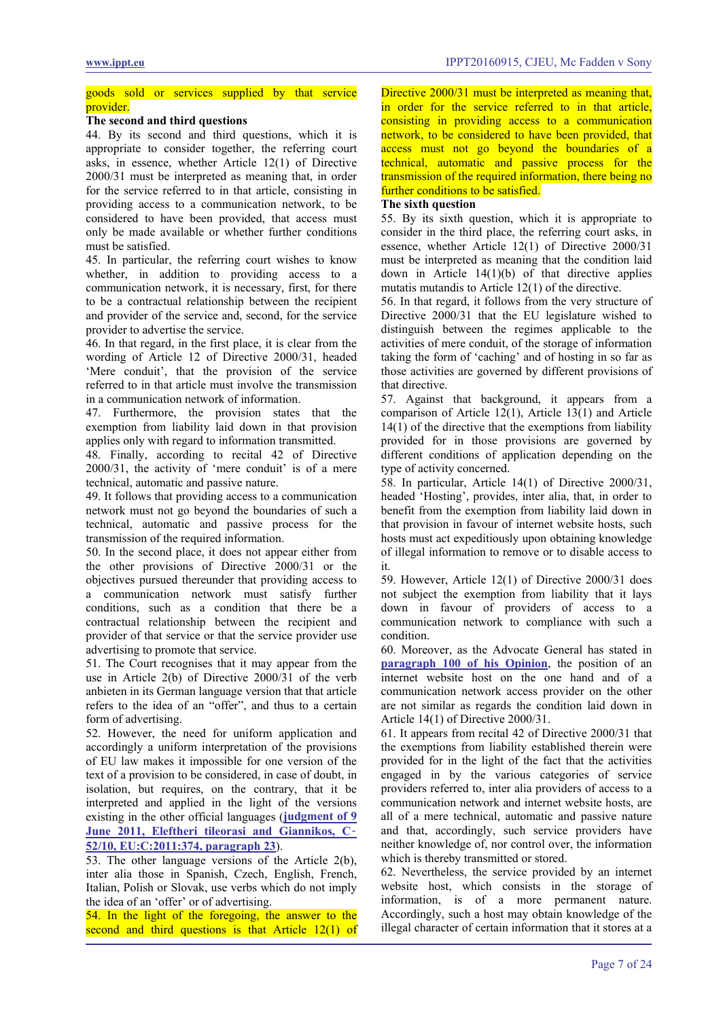goods sold or services supplied by that service provider.

## **The second and third questions**

44. By its second and third questions, which it is appropriate to consider together, the referring court asks, in essence, whether Article 12(1) of Directive 2000/31 must be interpreted as meaning that, in order for the service referred to in that article, consisting in providing access to a communication network, to be considered to have been provided, that access must only be made available or whether further conditions must be satisfied.

45. In particular, the referring court wishes to know whether, in addition to providing access to a communication network, it is necessary, first, for there to be a contractual relationship between the recipient and provider of the service and, second, for the service provider to advertise the service.

46. In that regard, in the first place, it is clear from the wording of Article 12 of Directive 2000/31, headed 'Mere conduit', that the provision of the service referred to in that article must involve the transmission in a communication network of information.

47. Furthermore, the provision states that the exemption from liability laid down in that provision applies only with regard to information transmitted.

48. Finally, according to recital 42 of Directive 2000/31, the activity of 'mere conduit' is of a mere technical, automatic and passive nature.

49. It follows that providing access to a communication network must not go beyond the boundaries of such a technical, automatic and passive process for the transmission of the required information.

50. In the second place, it does not appear either from the other provisions of Directive 2000/31 or the objectives pursued thereunder that providing access to a communication network must satisfy further conditions, such as a condition that there be a contractual relationship between the recipient and provider of that service or that the service provider use advertising to promote that service.

51. The Court recognises that it may appear from the use in Article 2(b) of Directive 2000/31 of the verb anbieten in its German language version that that article refers to the idea of an "offer", and thus to a certain form of advertising.

52. However, the need for uniform application and accordingly a uniform interpretation of the provisions of EU law makes it impossible for one version of the text of a provision to be considered, in case of doubt, in isolation, but requires, on the contrary, that it be interpreted and applied in the light of the versions existing in the other official languages (**[judgment of 9](http://www.ippt.eu/files/2011/IPPT20110609_ECJ_Alter_Channel.pdf)  [June 2011, Eleftheri tileorasi and Giannikos, C](http://www.ippt.eu/files/2011/IPPT20110609_ECJ_Alter_Channel.pdf)**‑ **52/10, [EU:C:2011:374, paragraph 23](http://www.ippt.eu/files/2011/IPPT20110609_ECJ_Alter_Channel.pdf)**).

53. The other language versions of the Article 2(b), inter alia those in Spanish, Czech, English, French, Italian, Polish or Slovak, use verbs which do not imply the idea of an 'offer' or of advertising.

<span id="page-6-0"></span>54. In the light of the foregoing, the answer to the second and third questions is that Article 12(1) of Directive 2000/31 must be interpreted as meaning that, in order for the service referred to in that article, consisting in providing access to a communication network, to be considered to have been provided, that access must not go beyond the boundaries of a technical, automatic and passive process for the transmission of the required information, there being no further conditions to be satisfied.

## **The sixth question**

55. By its sixth question, which it is appropriate to consider in the third place, the referring court asks, in essence, whether Article 12(1) of Directive 2000/31 must be interpreted as meaning that the condition laid down in Article 14(1)(b) of that directive applies mutatis mutandis to Article 12(1) of the directive.

56. In that regard, it follows from the very structure of Directive 2000/31 that the EU legislature wished to distinguish between the regimes applicable to the activities of mere conduit, of the storage of information taking the form of 'caching' and of hosting in so far as those activities are governed by different provisions of that directive.

57. Against that background, it appears from a comparison of Article 12(1), Article 13(1) and Article 14(1) of the directive that the exemptions from liability provided for in those provisions are governed by different conditions of application depending on the type of activity concerned.

58. In particular, Article 14(1) of Directive 2000/31, headed 'Hosting', provides, inter alia, that, in order to benefit from the exemption from liability laid down in that provision in favour of internet website hosts, such hosts must act expeditiously upon obtaining knowledge of illegal information to remove or to disable access to it.

59. However, Article 12(1) of Directive 2000/31 does not subject the exemption from liability that it lays down in favour of providers of access to a communication network to compliance with such a condition.

60. Moreover, as the Advocate General has stated in **[paragraph 100 of his Opinion](#page-17-0)**, the position of an internet website host on the one hand and of a communication network access provider on the other are not similar as regards the condition laid down in Article 14(1) of Directive 2000/31.

61. It appears from recital 42 of Directive 2000/31 that the exemptions from liability established therein were provided for in the light of the fact that the activities engaged in by the various categories of service providers referred to, inter alia providers of access to a communication network and internet website hosts, are all of a mere technical, automatic and passive nature and that, accordingly, such service providers have neither knowledge of, nor control over, the information which is thereby transmitted or stored.

62. Nevertheless, the service provided by an internet website host, which consists in the storage of information, is of a more permanent nature. Accordingly, such a host may obtain knowledge of the illegal character of certain information that it stores at a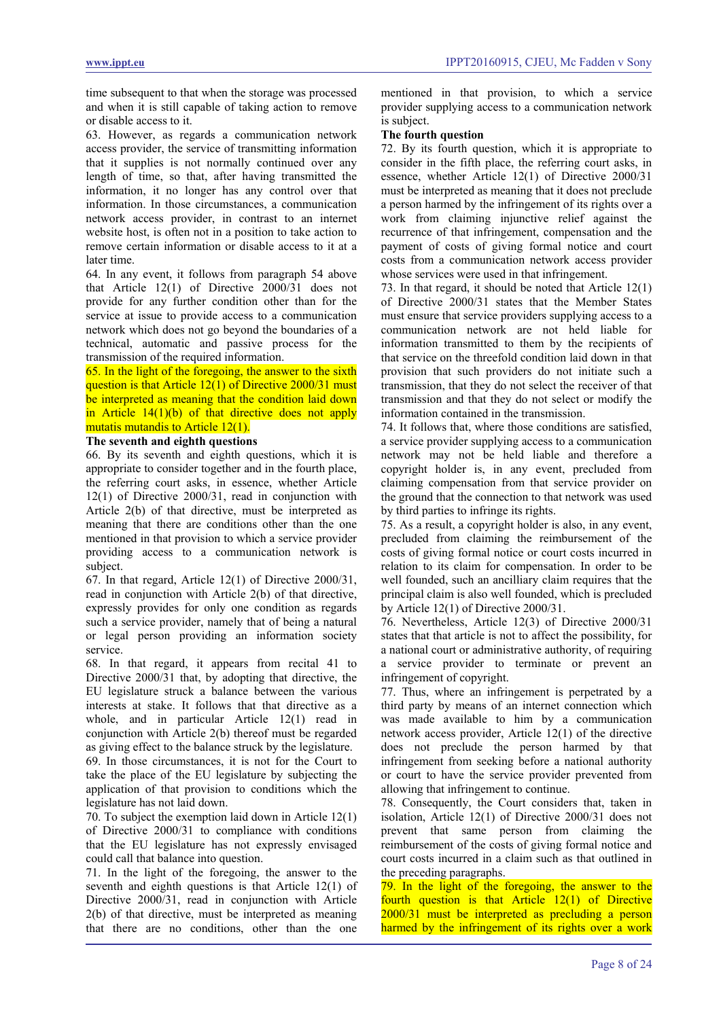time subsequent to that when the storage was processed and when it is still capable of taking action to remove or disable access to it.

63. However, as regards a communication network access provider, the service of transmitting information that it supplies is not normally continued over any length of time, so that, after having transmitted the information, it no longer has any control over that information. In those circumstances, a communication network access provider, in contrast to an internet website host, is often not in a position to take action to remove certain information or disable access to it at a later time.

64. In any event, it follows from paragraph 54 above that Article 12(1) of Directive 2000/31 does not provide for any further condition other than for the service at issue to provide access to a communication network which does not go beyond the boundaries of a technical, automatic and passive process for the transmission of the required information.

<span id="page-7-0"></span>65. In the light of the foregoing, the answer to the sixth question is that Article 12(1) of Directive 2000/31 must be interpreted as meaning that the condition laid down in Article  $14(1)(b)$  of that directive does not apply mutatis mutandis to Article 12(1).

## **The seventh and eighth questions**

66. By its seventh and eighth questions, which it is appropriate to consider together and in the fourth place, the referring court asks, in essence, whether Article 12(1) of Directive 2000/31, read in conjunction with Article 2(b) of that directive, must be interpreted as meaning that there are conditions other than the one mentioned in that provision to which a service provider providing access to a communication network is subject.

67. In that regard, Article 12(1) of Directive 2000/31, read in conjunction with Article 2(b) of that directive, expressly provides for only one condition as regards such a service provider, namely that of being a natural or legal person providing an information society service.

68. In that regard, it appears from recital 41 to Directive 2000/31 that, by adopting that directive, the EU legislature struck a balance between the various interests at stake. It follows that that directive as a whole, and in particular Article 12(1) read in conjunction with Article 2(b) thereof must be regarded as giving effect to the balance struck by the legislature.

69. In those circumstances, it is not for the Court to take the place of the EU legislature by subjecting the application of that provision to conditions which the legislature has not laid down.

70. To subject the exemption laid down in Article 12(1) of Directive 2000/31 to compliance with conditions that the EU legislature has not expressly envisaged could call that balance into question.

71. In the light of the foregoing, the answer to the seventh and eighth questions is that Article 12(1) of Directive 2000/31, read in conjunction with Article 2(b) of that directive, must be interpreted as meaning that there are no conditions, other than the one

mentioned in that provision, to which a service provider supplying access to a communication network is subject.

## **The fourth question**

72. By its fourth question, which it is appropriate to consider in the fifth place, the referring court asks, in essence, whether Article 12(1) of Directive 2000/31 must be interpreted as meaning that it does not preclude a person harmed by the infringement of its rights over a work from claiming injunctive relief against the recurrence of that infringement, compensation and the payment of costs of giving formal notice and court costs from a communication network access provider whose services were used in that infringement.

73. In that regard, it should be noted that Article 12(1) of Directive 2000/31 states that the Member States must ensure that service providers supplying access to a communication network are not held liable for information transmitted to them by the recipients of that service on the threefold condition laid down in that provision that such providers do not initiate such a transmission, that they do not select the receiver of that transmission and that they do not select or modify the information contained in the transmission.

74. It follows that, where those conditions are satisfied, a service provider supplying access to a communication network may not be held liable and therefore a copyright holder is, in any event, precluded from claiming compensation from that service provider on the ground that the connection to that network was used by third parties to infringe its rights.

75. As a result, a copyright holder is also, in any event, precluded from claiming the reimbursement of the costs of giving formal notice or court costs incurred in relation to its claim for compensation. In order to be well founded, such an ancilliary claim requires that the principal claim is also well founded, which is precluded by Article 12(1) of Directive 2000/31.

76. Nevertheless, Article 12(3) of Directive 2000/31 states that that article is not to affect the possibility, for a national court or administrative authority, of requiring a service provider to terminate or prevent an infringement of copyright.

77. Thus, where an infringement is perpetrated by a third party by means of an internet connection which was made available to him by a communication network access provider, Article 12(1) of the directive does not preclude the person harmed by that infringement from seeking before a national authority or court to have the service provider prevented from allowing that infringement to continue.

78. Consequently, the Court considers that, taken in isolation, Article 12(1) of Directive 2000/31 does not prevent that same person from claiming the reimbursement of the costs of giving formal notice and court costs incurred in a claim such as that outlined in the preceding paragraphs.

<span id="page-7-1"></span>79. In the light of the foregoing, the answer to the fourth question is that Article 12(1) of Directive 2000/31 must be interpreted as precluding a person harmed by the infringement of its rights over a work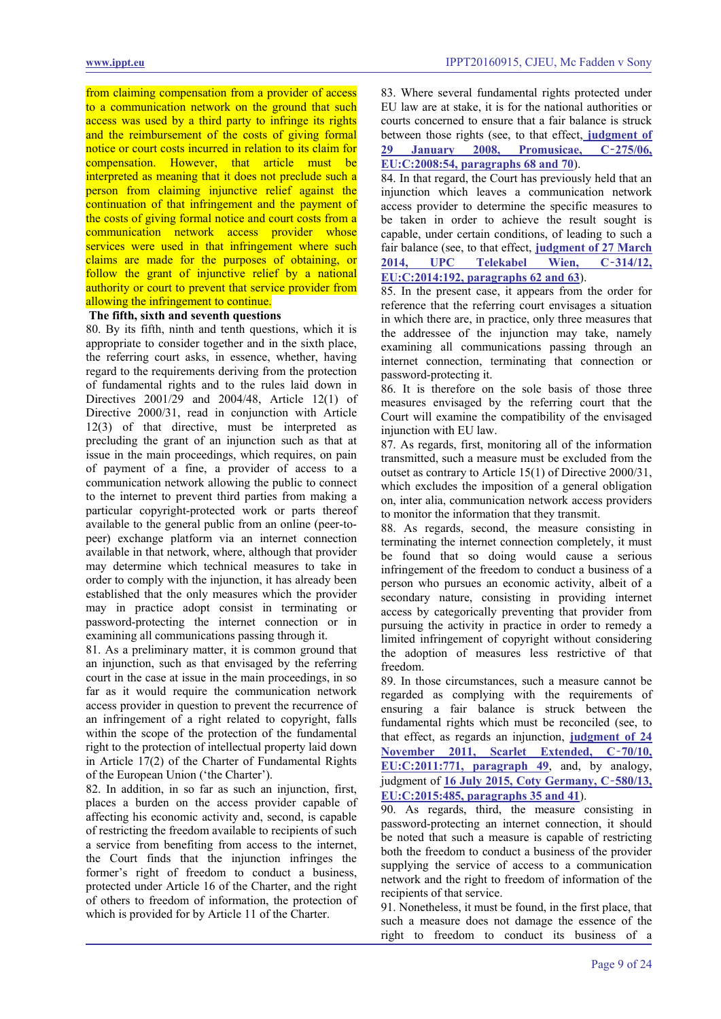from claiming compensation from a provider of access to a communication network on the ground that such access was used by a third party to infringe its rights and the reimbursement of the costs of giving formal notice or court costs incurred in relation to its claim for compensation. However, that article must be interpreted as meaning that it does not preclude such a person from claiming injunctive relief against the continuation of that infringement and the payment of the costs of giving formal notice and court costs from a communication network access provider whose services were used in that infringement where such claims are made for the purposes of obtaining, or follow the grant of injunctive relief by a national authority or court to prevent that service provider from allowing the infringement to continue.

## **The fifth, sixth and seventh questions**

80. By its fifth, ninth and tenth questions, which it is appropriate to consider together and in the sixth place, the referring court asks, in essence, whether, having regard to the requirements deriving from the protection of fundamental rights and to the rules laid down in Directives 2001/29 and 2004/48, Article 12(1) of Directive 2000/31, read in conjunction with Article 12(3) of that directive, must be interpreted as precluding the grant of an injunction such as that at issue in the main proceedings, which requires, on pain of payment of a fine, a provider of access to a communication network allowing the public to connect to the internet to prevent third parties from making a particular copyright-protected work or parts thereof available to the general public from an online (peer-topeer) exchange platform via an internet connection available in that network, where, although that provider may determine which technical measures to take in order to comply with the injunction, it has already been established that the only measures which the provider may in practice adopt consist in terminating or password-protecting the internet connection or in examining all communications passing through it.

81. As a preliminary matter, it is common ground that an injunction, such as that envisaged by the referring court in the case at issue in the main proceedings, in so far as it would require the communication network access provider in question to prevent the recurrence of an infringement of a right related to copyright, falls within the scope of the protection of the fundamental right to the protection of intellectual property laid down in Article 17(2) of the Charter of Fundamental Rights of the European Union ('the Charter').

82. In addition, in so far as such an injunction, first, places a burden on the access provider capable of affecting his economic activity and, second, is capable of restricting the freedom available to recipients of such a service from benefiting from access to the internet, the Court finds that the injunction infringes the former's right of freedom to conduct a business, protected under Article 16 of the Charter, and the right of others to freedom of information, the protection of which is provided for by Article 11 of the Charter.

83. Where several fundamental rights protected under EU law are at stake, it is for the national authorities or courts concerned to ensure that a fair balance is struck between those rights (see, to that effect, **[judgment of](http://www.ippt.eu/sites/default/files/2008/IPPT20080129_ECJ_Promusicae_v_Telefonica_concerning_KaZaa.pdf)  [29 January 2008, Promusicae, C](http://www.ippt.eu/sites/default/files/2008/IPPT20080129_ECJ_Promusicae_v_Telefonica_concerning_KaZaa.pdf)**‑**275/06, [EU:C:2008:54, paragraphs 68 and 70](http://www.ippt.eu/sites/default/files/2008/IPPT20080129_ECJ_Promusicae_v_Telefonica_concerning_KaZaa.pdf)**).

84. In that regard, the Court has previously held that an injunction which leaves a communication network access provider to determine the specific measures to be taken in order to achieve the result sought is capable, under certain conditions, of leading to such a fair balance (see, to that effect, **[judgment of 27 March](http://www.ippt.eu/sites/default/files/2014/IPPT20140327_ECJ_UPC_Telekabel_v_Constantin_Film.pdf)  [2014, UPC Telekabel Wien, C](http://www.ippt.eu/sites/default/files/2014/IPPT20140327_ECJ_UPC_Telekabel_v_Constantin_Film.pdf)**‑**314/12, [EU:C:2014:192, paragraphs 62 and 63](http://www.ippt.eu/sites/default/files/2014/IPPT20140327_ECJ_UPC_Telekabel_v_Constantin_Film.pdf)**).

85. In the present case, it appears from the order for reference that the referring court envisages a situation in which there are, in practice, only three measures that the addressee of the injunction may take, namely examining all communications passing through an internet connection, terminating that connection or password-protecting it.

86. It is therefore on the sole basis of those three measures envisaged by the referring court that the Court will examine the compatibility of the envisaged injunction with EU law.

87. As regards, first, monitoring all of the information transmitted, such a measure must be excluded from the outset as contrary to Article 15(1) of Directive 2000/31, which excludes the imposition of a general obligation on, inter alia, communication network access providers to monitor the information that they transmit.

88. As regards, second, the measure consisting in terminating the internet connection completely, it must be found that so doing would cause a serious infringement of the freedom to conduct a business of a person who pursues an economic activity, albeit of a secondary nature, consisting in providing internet access by categorically preventing that provider from pursuing the activity in practice in order to remedy a limited infringement of copyright without considering the adoption of measures less restrictive of that freedom.

89. In those circumstances, such a measure cannot be regarded as complying with the requirements of ensuring a fair balance is struck between the fundamental rights which must be reconciled (see, to that effect, as regards an injunction, **[judgment of 24](http://www.ippt.eu/files/2011/IPPT20111124_ECJ_Scarlet_v_SABAM.pdf)  [November 2011, Scarlet Extended, C](http://www.ippt.eu/files/2011/IPPT20111124_ECJ_Scarlet_v_SABAM.pdf)**‑**70/10, [EU:C:2011:771, paragraph 49](http://www.ippt.eu/files/2011/IPPT20111124_ECJ_Scarlet_v_SABAM.pdf)**, and, by analogy, judgment of **[16 July 2015, Coty Germany, C](http://www.ippt.eu/sites/default/files/2015/IPPT20150716_CJEU_Coty_Germany_v_Stadtsparkasse.pdf)**‑**580/13, [EU:C:2015:485, paragraphs 35 and 41](http://www.ippt.eu/sites/default/files/2015/IPPT20150716_CJEU_Coty_Germany_v_Stadtsparkasse.pdf)**).

90. As regards, third, the measure consisting in password-protecting an internet connection, it should be noted that such a measure is capable of restricting both the freedom to conduct a business of the provider supplying the service of access to a communication network and the right to freedom of information of the recipients of that service.

91. Nonetheless, it must be found, in the first place, that such a measure does not damage the essence of the right to freedom to conduct its business of a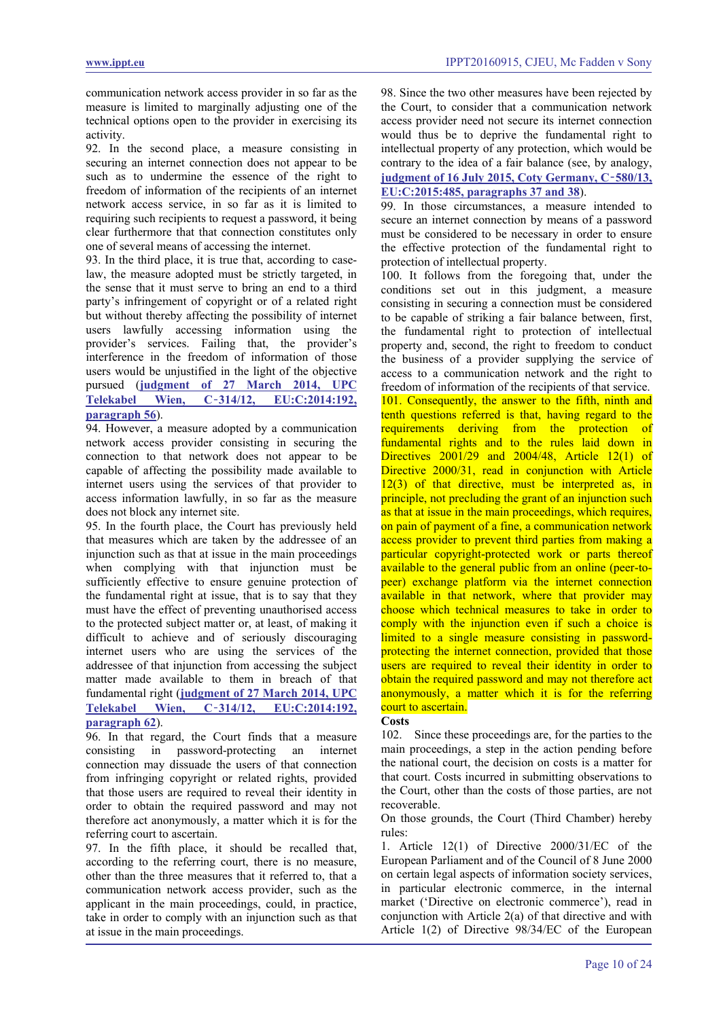communication network access provider in so far as the measure is limited to marginally adjusting one of the technical options open to the provider in exercising its activity.

92. In the second place, a measure consisting in securing an internet connection does not appear to be such as to undermine the essence of the right to freedom of information of the recipients of an internet network access service, in so far as it is limited to requiring such recipients to request a password, it being clear furthermore that that connection constitutes only one of several means of accessing the internet.

93. In the third place, it is true that, according to caselaw, the measure adopted must be strictly targeted, in the sense that it must serve to bring an end to a third party's infringement of copyright or of a related right but without thereby affecting the possibility of internet users lawfully accessing information using the provider's services. Failing that, the provider's interference in the freedom of information of those users would be unjustified in the light of the objective pursued (**[judgment of 27 March 2014, UPC](http://www.ippt.eu/sites/default/files/2014/IPPT20140327_ECJ_UPC_Telekabel_v_Constantin_Film.pdf)**  Wien, C-314/12, **EU:C:2014:192**, **[paragraph 56](http://www.ippt.eu/sites/default/files/2014/IPPT20140327_ECJ_UPC_Telekabel_v_Constantin_Film.pdf)**).

94. However, a measure adopted by a communication network access provider consisting in securing the connection to that network does not appear to be capable of affecting the possibility made available to internet users using the services of that provider to access information lawfully, in so far as the measure does not block any internet site.

95. In the fourth place, the Court has previously held that measures which are taken by the addressee of an injunction such as that at issue in the main proceedings when complying with that injunction must be sufficiently effective to ensure genuine protection of the fundamental right at issue, that is to say that they must have the effect of preventing unauthorised access to the protected subject matter or, at least, of making it difficult to achieve and of seriously discouraging internet users who are using the services of the addressee of that injunction from accessing the subject matter made available to them in breach of that fundamental right (**[judgment of 27 March 2014, UPC](http://www.ippt.eu/sites/default/files/2014/IPPT20140327_ECJ_UPC_Telekabel_v_Constantin_Film.pdf)  Telekabel Wien, C**‑**[314/12, EU:C:2014:192,](http://www.ippt.eu/sites/default/files/2014/IPPT20140327_ECJ_UPC_Telekabel_v_Constantin_Film.pdf)** 

## **[paragraph 62](http://www.ippt.eu/sites/default/files/2014/IPPT20140327_ECJ_UPC_Telekabel_v_Constantin_Film.pdf)**).

96. In that regard, the Court finds that a measure consisting in password-protecting an internet connection may dissuade the users of that connection from infringing copyright or related rights, provided that those users are required to reveal their identity in order to obtain the required password and may not therefore act anonymously, a matter which it is for the referring court to ascertain.

97. In the fifth place, it should be recalled that, according to the referring court, there is no measure, other than the three measures that it referred to, that a communication network access provider, such as the applicant in the main proceedings, could, in practice, take in order to comply with an injunction such as that at issue in the main proceedings.

98. Since the two other measures have been rejected by the Court, to consider that a communication network access provider need not secure its internet connection would thus be to deprive the fundamental right to intellectual property of any protection, which would be contrary to the idea of a fair balance (see, by analogy, **[judgment of 16 July 2015, Coty Germany, C](http://www.ippt.eu/sites/default/files/2015/IPPT20150716_CJEU_Coty_Germany_v_Stadtsparkasse.pdf)**‑**580/13, [EU:C:2015:485, paragraphs 37 and 38](http://www.ippt.eu/sites/default/files/2015/IPPT20150716_CJEU_Coty_Germany_v_Stadtsparkasse.pdf)**).

99. In those circumstances, a measure intended to secure an internet connection by means of a password must be considered to be necessary in order to ensure the effective protection of the fundamental right to protection of intellectual property.

<span id="page-9-0"></span>100. It follows from the foregoing that, under the conditions set out in this judgment, a measure consisting in securing a connection must be considered to be capable of striking a fair balance between, first, the fundamental right to protection of intellectual property and, second, the right to freedom to conduct the business of a provider supplying the service of access to a communication network and the right to freedom of information of the recipients of that service. 101. Consequently, the answer to the fifth, ninth and tenth questions referred is that, having regard to the requirements deriving from the protection of fundamental rights and to the rules laid down in Directives 2001/29 and 2004/48, Article 12(1) of Directive 2000/31, read in conjunction with Article 12(3) of that directive, must be interpreted as, in principle, not precluding the grant of an injunction such as that at issue in the main proceedings, which requires, on pain of payment of a fine, a communication network access provider to prevent third parties from making a particular copyright-protected work or parts thereof available to the general public from an online (peer-topeer) exchange platform via the internet connection available in that network, where that provider may choose which technical measures to take in order to comply with the injunction even if such a choice is limited to a single measure consisting in passwordprotecting the internet connection, provided that those users are required to reveal their identity in order to obtain the required password and may not therefore act anonymously, a matter which it is for the referring court to ascertain.

## **Costs**

102. Since these proceedings are, for the parties to the main proceedings, a step in the action pending before the national court, the decision on costs is a matter for that court. Costs incurred in submitting observations to the Court, other than the costs of those parties, are not recoverable.

On those grounds, the Court (Third Chamber) hereby rules:

1. Article 12(1) of Directive 2000/31/EC of the European Parliament and of the Council of 8 June 2000 on certain legal aspects of information society services, in particular electronic commerce, in the internal market ('Directive on electronic commerce'), read in conjunction with Article 2(a) of that directive and with Article 1(2) of Directive 98/34/EC of the European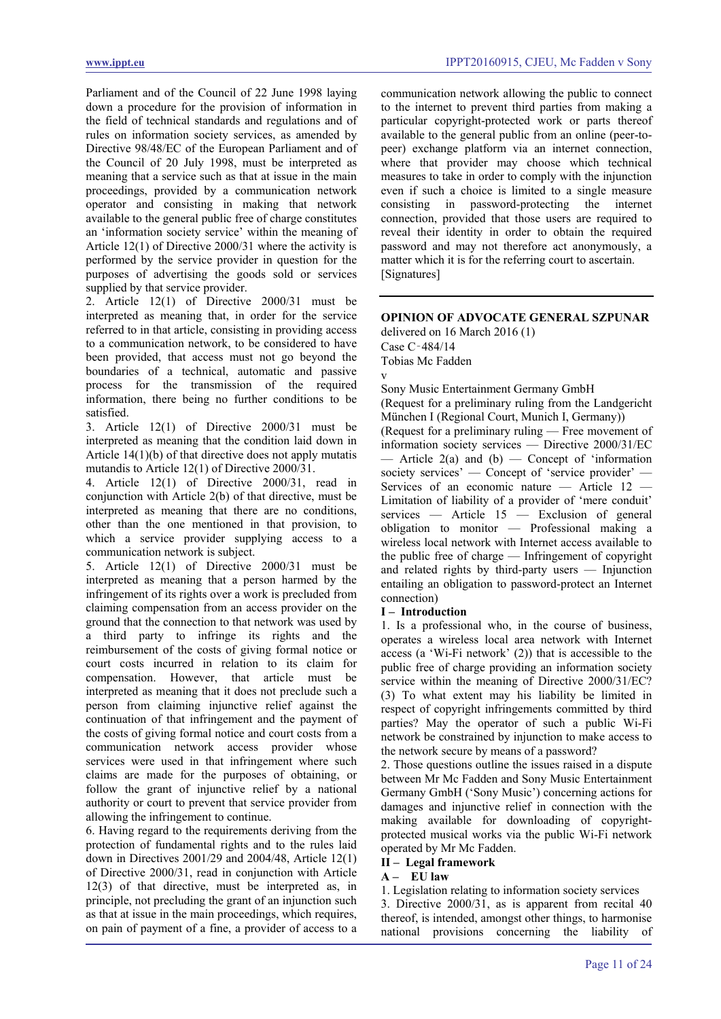Parliament and of the Council of 22 June 1998 laying down a procedure for the provision of information in the field of technical standards and regulations and of rules on information society services, as amended by Directive 98/48/EC of the European Parliament and of the Council of 20 July 1998, must be interpreted as meaning that a service such as that at issue in the main proceedings, provided by a communication network operator and consisting in making that network available to the general public free of charge constitutes an 'information society service' within the meaning of Article 12(1) of Directive 2000/31 where the activity is performed by the service provider in question for the purposes of advertising the goods sold or services supplied by that service provider.

2. Article 12(1) of Directive 2000/31 must be interpreted as meaning that, in order for the service referred to in that article, consisting in providing access to a communication network, to be considered to have been provided, that access must not go beyond the boundaries of a technical, automatic and passive process for the transmission of the required information, there being no further conditions to be satisfied.

3. Article 12(1) of Directive 2000/31 must be interpreted as meaning that the condition laid down in Article 14(1)(b) of that directive does not apply mutatis mutandis to Article 12(1) of Directive 2000/31.

4. Article 12(1) of Directive 2000/31, read in conjunction with Article 2(b) of that directive, must be interpreted as meaning that there are no conditions, other than the one mentioned in that provision, to which a service provider supplying access to a communication network is subject.

5. Article 12(1) of Directive 2000/31 must be interpreted as meaning that a person harmed by the infringement of its rights over a work is precluded from claiming compensation from an access provider on the ground that the connection to that network was used by a third party to infringe its rights and the reimbursement of the costs of giving formal notice or court costs incurred in relation to its claim for compensation. However, that article must be interpreted as meaning that it does not preclude such a person from claiming injunctive relief against the continuation of that infringement and the payment of the costs of giving formal notice and court costs from a communication network access provider whose services were used in that infringement where such claims are made for the purposes of obtaining, or follow the grant of injunctive relief by a national authority or court to prevent that service provider from allowing the infringement to continue.

6. Having regard to the requirements deriving from the protection of fundamental rights and to the rules laid down in Directives 2001/29 and 2004/48, Article 12(1) of Directive 2000/31, read in conjunction with Article 12(3) of that directive, must be interpreted as, in principle, not precluding the grant of an injunction such as that at issue in the main proceedings, which requires, on pain of payment of a fine, a provider of access to a communication network allowing the public to connect to the internet to prevent third parties from making a particular copyright-protected work or parts thereof available to the general public from an online (peer-topeer) exchange platform via an internet connection, where that provider may choose which technical measures to take in order to comply with the injunction even if such a choice is limited to a single measure consisting in password-protecting the internet connection, provided that those users are required to reveal their identity in order to obtain the required password and may not therefore act anonymously, a matter which it is for the referring court to ascertain. [Signatures]

# <span id="page-10-0"></span>**OPINION OF ADVOCATE GENERAL SZPUNAR**

delivered on 16 March 2016 (1) Case C‑484/14

Tobias Mc Fadden

v Sony Music Entertainment Germany GmbH

(Request for a preliminary ruling from the Landgericht München I (Regional Court, Munich I, Germany)) (Request for a preliminary ruling — Free movement of information society services — Directive 2000/31/EC - Article  $2(a)$  and  $(b)$  - Concept of 'information society services' — Concept of 'service provider' — Services of an economic nature — Article 12 — Limitation of liability of a provider of 'mere conduit' services — Article 15 — Exclusion of general obligation to monitor — Professional making a wireless local network with Internet access available to the public free of charge — Infringement of copyright and related rights by third-party users — Injunction entailing an obligation to password-protect an Internet connection)

# **I – Introduction**

1. Is a professional who, in the course of business, operates a wireless local area network with Internet access (a 'Wi-Fi network' (2)) that is accessible to the public free of charge providing an information society service within the meaning of Directive 2000/31/EC? (3) To what extent may his liability be limited in respect of copyright infringements committed by third parties? May the operator of such a public Wi-Fi network be constrained by injunction to make access to the network secure by means of a password?

2. Those questions outline the issues raised in a dispute between Mr Mc Fadden and Sony Music Entertainment Germany GmbH ('Sony Music') concerning actions for damages and injunctive relief in connection with the making available for downloading of copyrightprotected musical works via the public Wi-Fi network operated by Mr Mc Fadden.

# **II – Legal framework**

# **A – EU law**

1. Legislation relating to information society services 3. Directive 2000/31, as is apparent from recital 40 thereof, is intended, amongst other things, to harmonise national provisions concerning the liability of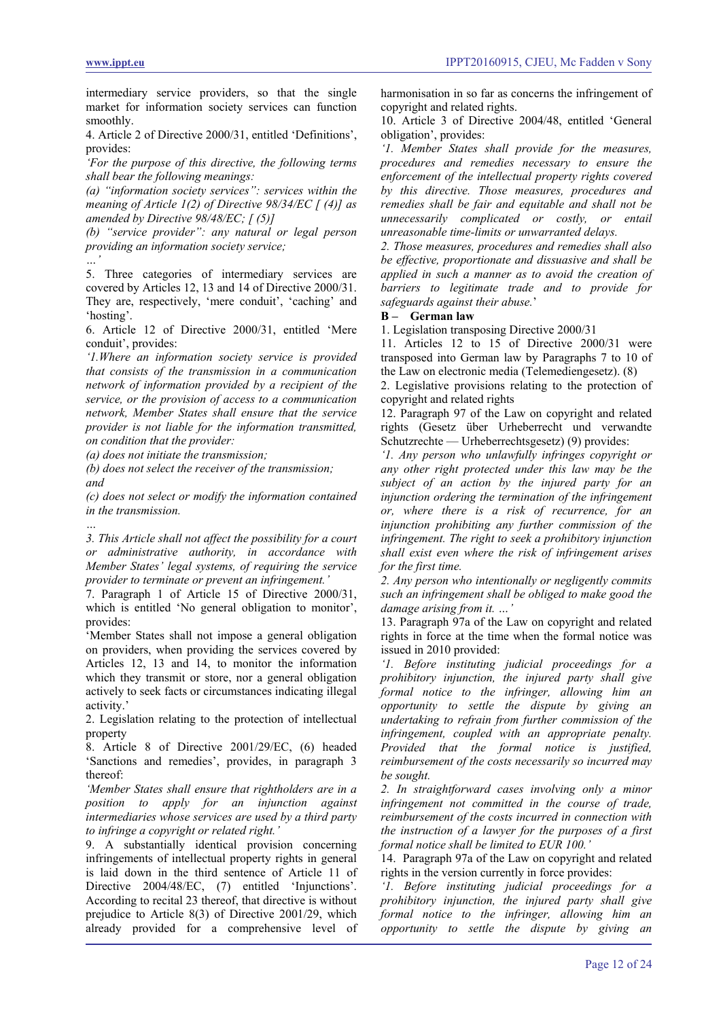intermediary service providers, so that the single market for information society services can function smoothly.

4. Article 2 of Directive 2000/31, entitled 'Definitions', provides:

*'For the purpose of this directive, the following terms shall bear the following meanings:*

*(a) "information society services": services within the meaning of Article 1(2) of Directive 98/34/EC [ (4)] as amended by Directive 98/48/EC; [ (5)]*

*(b) "service provider": any natural or legal person providing an information society service;*

*…'* 5. Three categories of intermediary services are covered by Articles 12, 13 and 14 of Directive 2000/31. They are, respectively, 'mere conduit', 'caching' and 'hosting'.

6. Article 12 of Directive 2000/31, entitled 'Mere conduit', provides:

*'1.Where an information society service is provided that consists of the transmission in a communication network of information provided by a recipient of the service, or the provision of access to a communication network, Member States shall ensure that the service provider is not liable for the information transmitted, on condition that the provider:*

*(a) does not initiate the transmission;*

*(b) does not select the receiver of the transmission; and*

*(c) does not select or modify the information contained in the transmission.*

*… 3. This Article shall not affect the possibility for a court or administrative authority, in accordance with Member States' legal systems, of requiring the service provider to terminate or prevent an infringement.'*

7. Paragraph 1 of Article 15 of Directive 2000/31, which is entitled 'No general obligation to monitor', provides:

'Member States shall not impose a general obligation on providers, when providing the services covered by Articles 12, 13 and 14, to monitor the information which they transmit or store, nor a general obligation actively to seek facts or circumstances indicating illegal activity.'

2. Legislation relating to the protection of intellectual property

8. Article 8 of Directive 2001/29/EC, (6) headed 'Sanctions and remedies', provides, in paragraph 3 thereof:

*'Member States shall ensure that rightholders are in a position to apply for an injunction against intermediaries whose services are used by a third party to infringe a copyright or related right.'*

9. A substantially identical provision concerning infringements of intellectual property rights in general is laid down in the third sentence of Article 11 of Directive 2004/48/EC, (7) entitled 'Injunctions'. According to recital 23 thereof, that directive is without prejudice to Article 8(3) of Directive 2001/29, which already provided for a comprehensive level of harmonisation in so far as concerns the infringement of copyright and related rights.

10. Article 3 of Directive 2004/48, entitled 'General obligation', provides:

*'1. Member States shall provide for the measures, procedures and remedies necessary to ensure the enforcement of the intellectual property rights covered by this directive. Those measures, procedures and remedies shall be fair and equitable and shall not be unnecessarily complicated or costly, or entail unreasonable time-limits or unwarranted delays.*

*2. Those measures, procedures and remedies shall also be effective, proportionate and dissuasive and shall be applied in such a manner as to avoid the creation of barriers to legitimate trade and to provide for safeguards against their abuse.*'

# **B – German law**

1. Legislation transposing Directive 2000/31

11. Articles 12 to 15 of Directive 2000/31 were transposed into German law by Paragraphs 7 to 10 of the Law on electronic media (Telemediengesetz). (8)

2. Legislative provisions relating to the protection of copyright and related rights

12. Paragraph 97 of the Law on copyright and related rights (Gesetz über Urheberrecht und verwandte Schutzrechte — Urheberrechtsgesetz) (9) provides:

*'1. Any person who unlawfully infringes copyright or any other right protected under this law may be the subject of an action by the injured party for an injunction ordering the termination of the infringement or, where there is a risk of recurrence, for an injunction prohibiting any further commission of the infringement. The right to seek a prohibitory injunction shall exist even where the risk of infringement arises for the first time.*

*2. Any person who intentionally or negligently commits such an infringement shall be obliged to make good the damage arising from it. …'*

13. Paragraph 97a of the Law on copyright and related rights in force at the time when the formal notice was issued in 2010 provided:

*'1. Before instituting judicial proceedings for a prohibitory injunction, the injured party shall give formal notice to the infringer, allowing him an opportunity to settle the dispute by giving an undertaking to refrain from further commission of the infringement, coupled with an appropriate penalty. Provided that the formal notice is justified, reimbursement of the costs necessarily so incurred may be sought.*

*2. In straightforward cases involving only a minor infringement not committed in the course of trade, reimbursement of the costs incurred in connection with the instruction of a lawyer for the purposes of a first formal notice shall be limited to EUR 100.'*

14. Paragraph 97a of the Law on copyright and related rights in the version currently in force provides:

*'1. Before instituting judicial proceedings for a prohibitory injunction, the injured party shall give formal notice to the infringer, allowing him an opportunity to settle the dispute by giving an*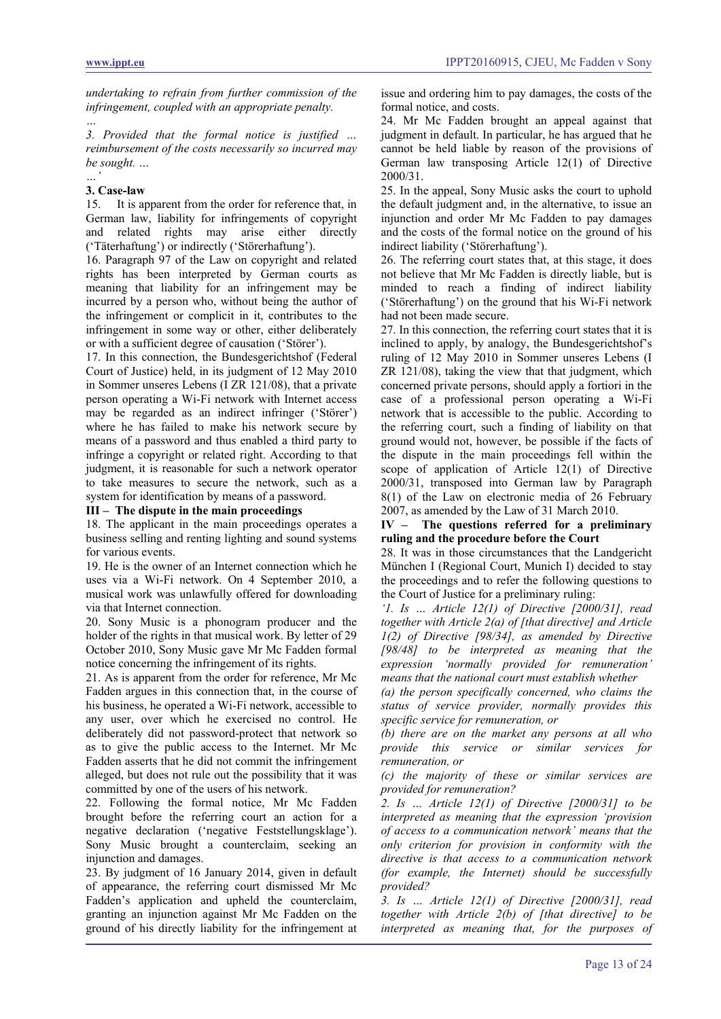*undertaking to refrain from further commission of the infringement, coupled with an appropriate penalty.*

*… 3. Provided that the formal notice is justified … reimbursement of the costs necessarily so incurred may be sought. …*

## *…'* **3. Case-law**

15. It is apparent from the order for reference that, in German law, liability for infringements of copyright and related rights may arise either directly ('Täterhaftung') or indirectly ('Störerhaftung').

16. Paragraph 97 of the Law on copyright and related rights has been interpreted by German courts as meaning that liability for an infringement may be incurred by a person who, without being the author of the infringement or complicit in it, contributes to the infringement in some way or other, either deliberately or with a sufficient degree of causation ('Störer').

17. In this connection, the Bundesgerichtshof (Federal Court of Justice) held, in its judgment of 12 May 2010 in Sommer unseres Lebens (I ZR 121/08), that a private person operating a Wi-Fi network with Internet access may be regarded as an indirect infringer ('Störer') where he has failed to make his network secure by means of a password and thus enabled a third party to infringe a copyright or related right. According to that judgment, it is reasonable for such a network operator to take measures to secure the network, such as a system for identification by means of a password.

## **III – The dispute in the main proceedings**

18. The applicant in the main proceedings operates a business selling and renting lighting and sound systems for various events.

19. He is the owner of an Internet connection which he uses via a Wi-Fi network. On 4 September 2010, a musical work was unlawfully offered for downloading via that Internet connection.

20. Sony Music is a phonogram producer and the holder of the rights in that musical work. By letter of 29 October 2010, Sony Music gave Mr Mc Fadden formal notice concerning the infringement of its rights.

21. As is apparent from the order for reference, Mr Mc Fadden argues in this connection that, in the course of his business, he operated a Wi-Fi network, accessible to any user, over which he exercised no control. He deliberately did not password-protect that network so as to give the public access to the Internet. Mr Mc Fadden asserts that he did not commit the infringement alleged, but does not rule out the possibility that it was committed by one of the users of his network.

22. Following the formal notice, Mr Mc Fadden brought before the referring court an action for a negative declaration ('negative Feststellungsklage'). Sony Music brought a counterclaim, seeking an injunction and damages.

23. By judgment of 16 January 2014, given in default of appearance, the referring court dismissed Mr Mc Fadden's application and upheld the counterclaim, granting an injunction against Mr Mc Fadden on the ground of his directly liability for the infringement at issue and ordering him to pay damages, the costs of the formal notice, and costs.

24. Mr Mc Fadden brought an appeal against that judgment in default. In particular, he has argued that he cannot be held liable by reason of the provisions of German law transposing Article 12(1) of Directive 2000/31.

25. In the appeal, Sony Music asks the court to uphold the default judgment and, in the alternative, to issue an injunction and order Mr Mc Fadden to pay damages and the costs of the formal notice on the ground of his indirect liability ('Störerhaftung').

26. The referring court states that, at this stage, it does not believe that Mr Mc Fadden is directly liable, but is minded to reach a finding of indirect liability ('Störerhaftung') on the ground that his Wi-Fi network had not been made secure.

27. In this connection, the referring court states that it is inclined to apply, by analogy, the Bundesgerichtshof's ruling of 12 May 2010 in Sommer unseres Lebens (I ZR 121/08), taking the view that that judgment, which concerned private persons, should apply a fortiori in the case of a professional person operating a Wi-Fi network that is accessible to the public. According to the referring court, such a finding of liability on that ground would not, however, be possible if the facts of the dispute in the main proceedings fell within the scope of application of Article 12(1) of Directive 2000/31, transposed into German law by Paragraph 8(1) of the Law on electronic media of 26 February 2007, as amended by the Law of 31 March 2010.

# **IV – The questions referred for a preliminary ruling and the procedure before the Court**

28. It was in those circumstances that the Landgericht München I (Regional Court, Munich I) decided to stay the proceedings and to refer the following questions to the Court of Justice for a preliminary ruling:

*'1. Is … Article 12(1) of Directive [2000/31], read together with Article 2(a) of [that directive] and Article 1(2) of Directive [98/34], as amended by Directive [98/48] to be interpreted as meaning that the expression 'normally provided for remuneration' means that the national court must establish whether*

*(a) the person specifically concerned, who claims the status of service provider, normally provides this specific service for remuneration, or*

*(b) there are on the market any persons at all who provide this service or similar services for remuneration, or*

*(c) the majority of these or similar services are provided for remuneration?*

*2. Is … Article 12(1) of Directive [2000/31] to be interpreted as meaning that the expression 'provision of access to a communication network' means that the only criterion for provision in conformity with the directive is that access to a communication network (for example, the Internet) should be successfully provided?*

*3. Is … Article 12(1) of Directive [2000/31], read together with Article 2(b) of [that directive] to be interpreted as meaning that, for the purposes of*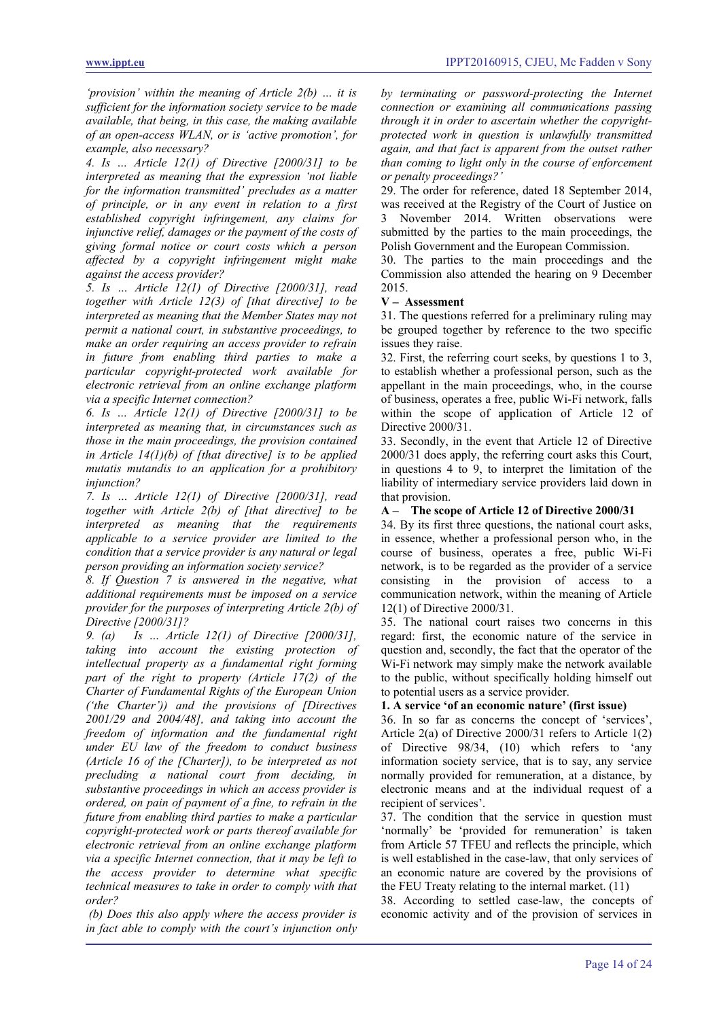*'provision' within the meaning of Article 2(b) … it is sufficient for the information society service to be made available, that being, in this case, the making available of an open-access WLAN, or is 'active promotion', for example, also necessary?*

*4. Is … Article 12(1) of Directive [2000/31] to be interpreted as meaning that the expression 'not liable for the information transmitted' precludes as a matter of principle, or in any event in relation to a first established copyright infringement, any claims for injunctive relief, damages or the payment of the costs of giving formal notice or court costs which a person affected by a copyright infringement might make against the access provider?*

*5. Is … Article 12(1) of Directive [2000/31], read together with Article 12(3) of [that directive] to be interpreted as meaning that the Member States may not permit a national court, in substantive proceedings, to make an order requiring an access provider to refrain in future from enabling third parties to make a particular copyright-protected work available for electronic retrieval from an online exchange platform via a specific Internet connection?*

*6. Is … Article 12(1) of Directive [2000/31] to be interpreted as meaning that, in circumstances such as those in the main proceedings, the provision contained in Article 14(1)(b) of [that directive] is to be applied mutatis mutandis to an application for a prohibitory injunction?*

*7. Is … Article 12(1) of Directive [2000/31], read together with Article 2(b) of [that directive] to be interpreted as meaning that the requirements applicable to a service provider are limited to the condition that a service provider is any natural or legal person providing an information society service?*

*8. If Question 7 is answered in the negative, what additional requirements must be imposed on a service provider for the purposes of interpreting Article 2(b) of Directive [2000/31]?*

*9. (a) Is … Article 12(1) of Directive [2000/31], taking into account the existing protection of intellectual property as a fundamental right forming part of the right to property (Article 17(2) of the Charter of Fundamental Rights of the European Union ('the Charter')) and the provisions of [Directives 2001/29 and 2004/48], and taking into account the freedom of information and the fundamental right under EU law of the freedom to conduct business (Article 16 of the [Charter]), to be interpreted as not precluding a national court from deciding, in substantive proceedings in which an access provider is ordered, on pain of payment of a fine, to refrain in the future from enabling third parties to make a particular copyright-protected work or parts thereof available for electronic retrieval from an online exchange platform via a specific Internet connection, that it may be left to the access provider to determine what specific technical measures to take in order to comply with that order?*

*(b) Does this also apply where the access provider is in fact able to comply with the court's injunction only*  *by terminating or password-protecting the Internet connection or examining all communications passing through it in order to ascertain whether the copyrightprotected work in question is unlawfully transmitted again, and that fact is apparent from the outset rather than coming to light only in the course of enforcement or penalty proceedings?'*

29. The order for reference, dated 18 September 2014, was received at the Registry of the Court of Justice on 3 November 2014. Written observations were submitted by the parties to the main proceedings, the Polish Government and the European Commission.

30. The parties to the main proceedings and the Commission also attended the hearing on 9 December 2015.

# **V – Assessment**

31. The questions referred for a preliminary ruling may be grouped together by reference to the two specific issues they raise.

32. First, the referring court seeks, by questions 1 to 3, to establish whether a professional person, such as the appellant in the main proceedings, who, in the course of business, operates a free, public Wi-Fi network, falls within the scope of application of Article 12 of Directive 2000/31.

33. Secondly, in the event that Article 12 of Directive 2000/31 does apply, the referring court asks this Court, in questions 4 to 9, to interpret the limitation of the liability of intermediary service providers laid down in that provision.

## **A – The scope of Article 12 of Directive 2000/31**

34. By its first three questions, the national court asks, in essence, whether a professional person who, in the course of business, operates a free, public Wi-Fi network, is to be regarded as the provider of a service consisting in the provision of access to a communication network, within the meaning of Article 12(1) of Directive 2000/31.

35. The national court raises two concerns in this regard: first, the economic nature of the service in question and, secondly, the fact that the operator of the Wi-Fi network may simply make the network available to the public, without specifically holding himself out to potential users as a service provider.

## **1. A service 'of an economic nature' (first issue)**

36. In so far as concerns the concept of 'services', Article 2(a) of Directive 2000/31 refers to Article 1(2) of Directive 98/34, (10) which refers to 'any information society service, that is to say, any service normally provided for remuneration, at a distance, by electronic means and at the individual request of a recipient of services'.

37. The condition that the service in question must 'normally' be 'provided for remuneration' is taken from Article 57 TFEU and reflects the principle, which is well established in the case-law, that only services of an economic nature are covered by the provisions of the FEU Treaty relating to the internal market. (11)

38. According to settled case-law, the concepts of economic activity and of the provision of services in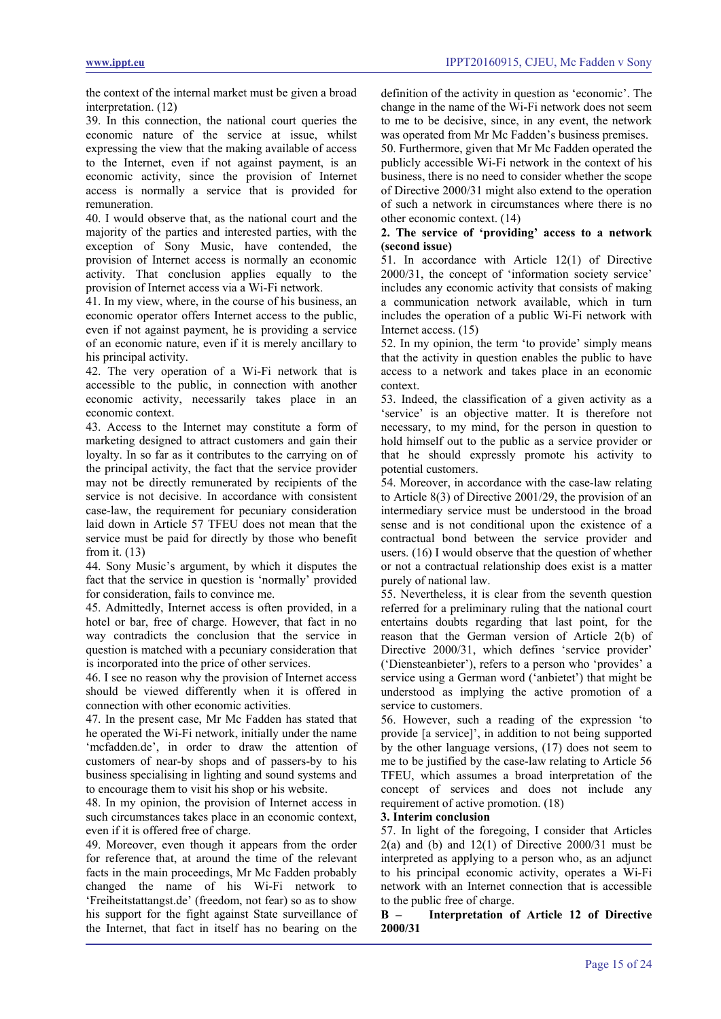the context of the internal market must be given a broad interpretation. (12)

39. In this connection, the national court queries the economic nature of the service at issue, whilst expressing the view that the making available of access to the Internet, even if not against payment, is an economic activity, since the provision of Internet access is normally a service that is provided for remuneration.

40. I would observe that, as the national court and the majority of the parties and interested parties, with the exception of Sony Music, have contended, the provision of Internet access is normally an economic activity. That conclusion applies equally to the provision of Internet access via a Wi-Fi network.

41. In my view, where, in the course of his business, an economic operator offers Internet access to the public, even if not against payment, he is providing a service of an economic nature, even if it is merely ancillary to his principal activity.

42. The very operation of a Wi-Fi network that is accessible to the public, in connection with another economic activity, necessarily takes place in an economic context.

43. Access to the Internet may constitute a form of marketing designed to attract customers and gain their loyalty. In so far as it contributes to the carrying on of the principal activity, the fact that the service provider may not be directly remunerated by recipients of the service is not decisive. In accordance with consistent case-law, the requirement for pecuniary consideration laid down in Article 57 TFEU does not mean that the service must be paid for directly by those who benefit from it. (13)

44. Sony Music's argument, by which it disputes the fact that the service in question is 'normally' provided for consideration, fails to convince me.

45. Admittedly, Internet access is often provided, in a hotel or bar, free of charge. However, that fact in no way contradicts the conclusion that the service in question is matched with a pecuniary consideration that is incorporated into the price of other services.

46. I see no reason why the provision of Internet access should be viewed differently when it is offered in connection with other economic activities.

47. In the present case, Mr Mc Fadden has stated that he operated the Wi-Fi network, initially under the name 'mcfadden.de', in order to draw the attention of customers of near-by shops and of passers-by to his business specialising in lighting and sound systems and to encourage them to visit his shop or his website.

48. In my opinion, the provision of Internet access in such circumstances takes place in an economic context, even if it is offered free of charge.

49. Moreover, even though it appears from the order for reference that, at around the time of the relevant facts in the main proceedings, Mr Mc Fadden probably changed the name of his Wi-Fi network to 'Freiheitstattangst.de' (freedom, not fear) so as to show his support for the fight against State surveillance of the Internet, that fact in itself has no bearing on the definition of the activity in question as 'economic'. The change in the name of the Wi-Fi network does not seem to me to be decisive, since, in any event, the network was operated from Mr Mc Fadden's business premises. 50. Furthermore, given that Mr Mc Fadden operated the publicly accessible Wi-Fi network in the context of his business, there is no need to consider whether the scope of Directive 2000/31 might also extend to the operation of such a network in circumstances where there is no other economic context. (14)

# **2. The service of 'providing' access to a network (second issue)**

51. In accordance with Article 12(1) of Directive 2000/31, the concept of 'information society service' includes any economic activity that consists of making a communication network available, which in turn includes the operation of a public Wi-Fi network with Internet access. (15)

52. In my opinion, the term 'to provide' simply means that the activity in question enables the public to have access to a network and takes place in an economic context.

53. Indeed, the classification of a given activity as a 'service' is an objective matter. It is therefore not necessary, to my mind, for the person in question to hold himself out to the public as a service provider or that he should expressly promote his activity to potential customers.

54. Moreover, in accordance with the case-law relating to Article 8(3) of Directive 2001/29, the provision of an intermediary service must be understood in the broad sense and is not conditional upon the existence of a contractual bond between the service provider and users. (16) I would observe that the question of whether or not a contractual relationship does exist is a matter purely of national law.

55. Nevertheless, it is clear from the seventh question referred for a preliminary ruling that the national court entertains doubts regarding that last point, for the reason that the German version of Article 2(b) of Directive 2000/31, which defines 'service provider' ('Diensteanbieter'), refers to a person who 'provides' a service using a German word ('anbietet') that might be understood as implying the active promotion of a service to customers.

56. However, such a reading of the expression 'to provide [a service]', in addition to not being supported by the other language versions, (17) does not seem to me to be justified by the case-law relating to Article 56 TFEU, which assumes a broad interpretation of the concept of services and does not include any requirement of active promotion. (18)

## **3. Interim conclusion**

57. In light of the foregoing, I consider that Articles  $2(a)$  and (b) and  $12(1)$  of Directive  $2000/31$  must be interpreted as applying to a person who, as an adjunct to his principal economic activity, operates a Wi-Fi network with an Internet connection that is accessible to the public free of charge.

**B – Interpretation of Article 12 of Directive 2000/31**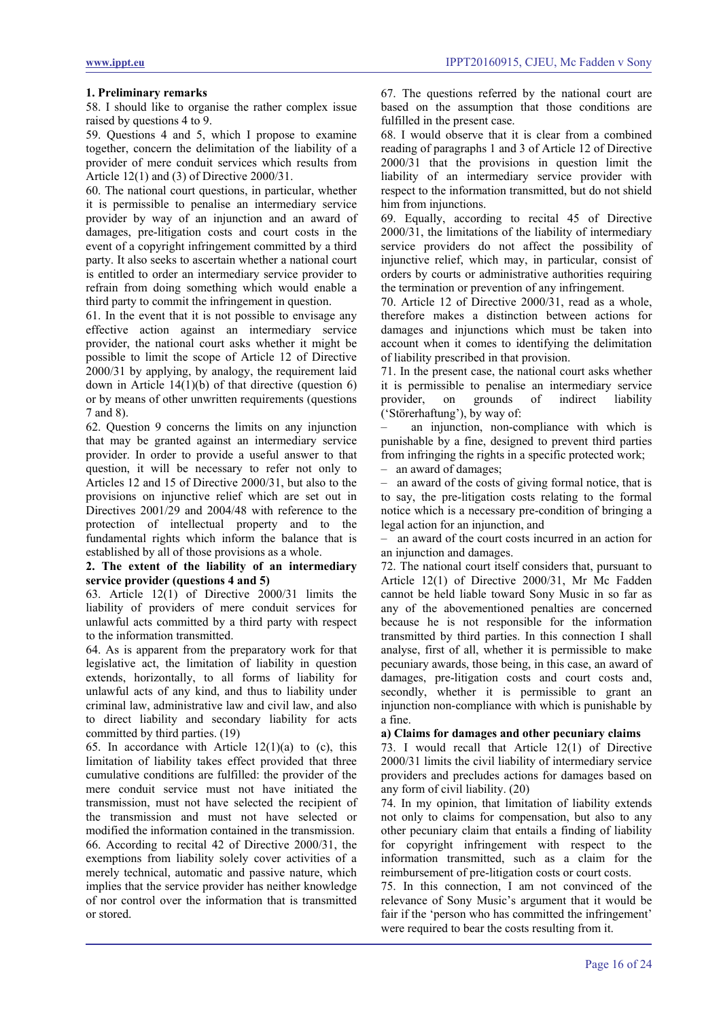## **1. Preliminary remarks**

58. I should like to organise the rather complex issue raised by questions 4 to 9.

59. Questions 4 and 5, which I propose to examine together, concern the delimitation of the liability of a provider of mere conduit services which results from Article 12(1) and (3) of Directive 2000/31.

60. The national court questions, in particular, whether it is permissible to penalise an intermediary service provider by way of an injunction and an award of damages, pre-litigation costs and court costs in the event of a copyright infringement committed by a third party. It also seeks to ascertain whether a national court is entitled to order an intermediary service provider to refrain from doing something which would enable a third party to commit the infringement in question.

61. In the event that it is not possible to envisage any effective action against an intermediary service provider, the national court asks whether it might be possible to limit the scope of Article 12 of Directive 2000/31 by applying, by analogy, the requirement laid down in Article  $14(1)(b)$  of that directive (question 6) or by means of other unwritten requirements (questions 7 and 8).

62. Question 9 concerns the limits on any injunction that may be granted against an intermediary service provider. In order to provide a useful answer to that question, it will be necessary to refer not only to Articles 12 and 15 of Directive 2000/31, but also to the provisions on injunctive relief which are set out in Directives 2001/29 and 2004/48 with reference to the protection of intellectual property and to the fundamental rights which inform the balance that is established by all of those provisions as a whole.

## **2. The extent of the liability of an intermediary service provider (questions 4 and 5)**

63. Article 12(1) of Directive 2000/31 limits the liability of providers of mere conduit services for unlawful acts committed by a third party with respect to the information transmitted.

64. As is apparent from the preparatory work for that legislative act, the limitation of liability in question extends, horizontally, to all forms of liability for unlawful acts of any kind, and thus to liability under criminal law, administrative law and civil law, and also to direct liability and secondary liability for acts committed by third parties. (19)

65. In accordance with Article  $12(1)(a)$  to (c), this limitation of liability takes effect provided that three cumulative conditions are fulfilled: the provider of the mere conduit service must not have initiated the transmission, must not have selected the recipient of the transmission and must not have selected or modified the information contained in the transmission. 66. According to recital 42 of Directive 2000/31, the exemptions from liability solely cover activities of a merely technical, automatic and passive nature, which implies that the service provider has neither knowledge of nor control over the information that is transmitted or stored.

67. The questions referred by the national court are based on the assumption that those conditions are fulfilled in the present case.

68. I would observe that it is clear from a combined reading of paragraphs 1 and 3 of Article 12 of Directive 2000/31 that the provisions in question limit the liability of an intermediary service provider with respect to the information transmitted, but do not shield him from injunctions.

69. Equally, according to recital 45 of Directive 2000/31, the limitations of the liability of intermediary service providers do not affect the possibility of injunctive relief, which may, in particular, consist of orders by courts or administrative authorities requiring the termination or prevention of any infringement.

70. Article 12 of Directive 2000/31, read as a whole, therefore makes a distinction between actions for damages and injunctions which must be taken into account when it comes to identifying the delimitation of liability prescribed in that provision.

71. In the present case, the national court asks whether it is permissible to penalise an intermediary service provider, on grounds of indirect liability ('Störerhaftung'), by way of:

– an injunction, non-compliance with which is punishable by a fine, designed to prevent third parties from infringing the rights in a specific protected work;

– an award of damages;

– an award of the costs of giving formal notice, that is to say, the pre-litigation costs relating to the formal notice which is a necessary pre-condition of bringing a legal action for an injunction, and

– an award of the court costs incurred in an action for an injunction and damages.

72. The national court itself considers that, pursuant to Article 12(1) of Directive 2000/31, Mr Mc Fadden cannot be held liable toward Sony Music in so far as any of the abovementioned penalties are concerned because he is not responsible for the information transmitted by third parties. In this connection I shall analyse, first of all, whether it is permissible to make pecuniary awards, those being, in this case, an award of damages, pre-litigation costs and court costs and, secondly, whether it is permissible to grant an injunction non-compliance with which is punishable by a fine.

# **a) Claims for damages and other pecuniary claims**

73. I would recall that Article 12(1) of Directive 2000/31 limits the civil liability of intermediary service providers and precludes actions for damages based on any form of civil liability. (20)

74. In my opinion, that limitation of liability extends not only to claims for compensation, but also to any other pecuniary claim that entails a finding of liability for copyright infringement with respect to the information transmitted, such as a claim for the reimbursement of pre-litigation costs or court costs.

75. In this connection, I am not convinced of the relevance of Sony Music's argument that it would be fair if the 'person who has committed the infringement' were required to bear the costs resulting from it.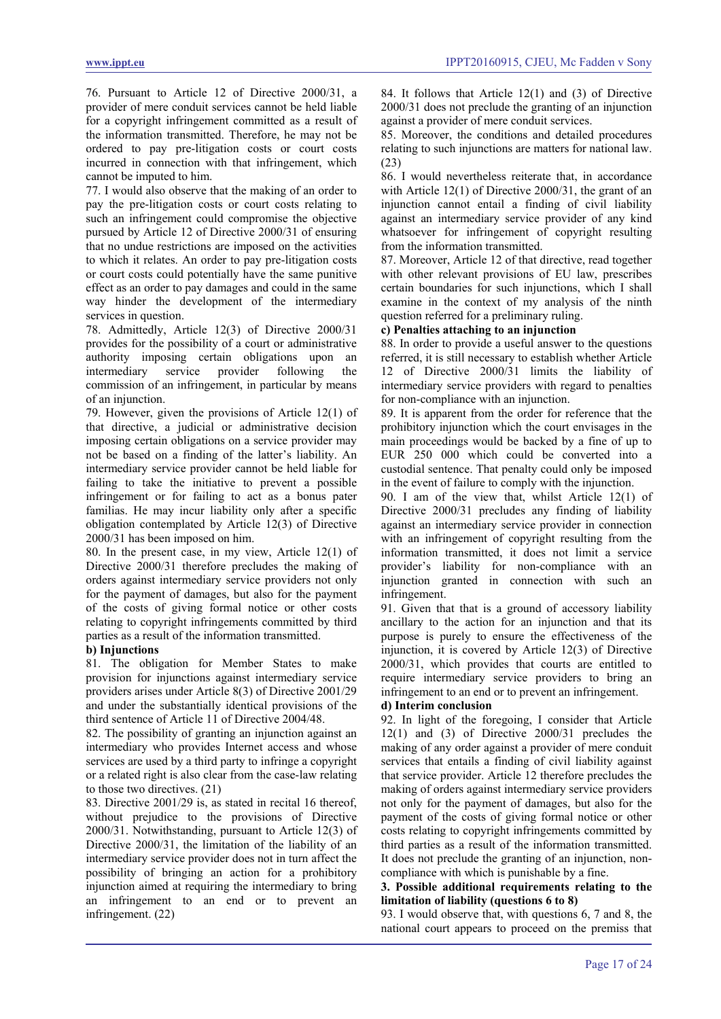76. Pursuant to Article 12 of Directive 2000/31, a provider of mere conduit services cannot be held liable for a copyright infringement committed as a result of the information transmitted. Therefore, he may not be ordered to pay pre-litigation costs or court costs incurred in connection with that infringement, which cannot be imputed to him.

77. I would also observe that the making of an order to pay the pre-litigation costs or court costs relating to such an infringement could compromise the objective pursued by Article 12 of Directive 2000/31 of ensuring that no undue restrictions are imposed on the activities to which it relates. An order to pay pre-litigation costs or court costs could potentially have the same punitive effect as an order to pay damages and could in the same way hinder the development of the intermediary services in question.

78. Admittedly, Article 12(3) of Directive 2000/31 provides for the possibility of a court or administrative authority imposing certain obligations upon an intermediary service provider following the commission of an infringement, in particular by means of an injunction.

79. However, given the provisions of Article 12(1) of that directive, a judicial or administrative decision imposing certain obligations on a service provider may not be based on a finding of the latter's liability. An intermediary service provider cannot be held liable for failing to take the initiative to prevent a possible infringement or for failing to act as a bonus pater familias. He may incur liability only after a specific obligation contemplated by Article 12(3) of Directive 2000/31 has been imposed on him.

80. In the present case, in my view, Article 12(1) of Directive 2000/31 therefore precludes the making of orders against intermediary service providers not only for the payment of damages, but also for the payment of the costs of giving formal notice or other costs relating to copyright infringements committed by third parties as a result of the information transmitted.

# **b) Injunctions**

81. The obligation for Member States to make provision for injunctions against intermediary service providers arises under Article 8(3) of Directive 2001/29 and under the substantially identical provisions of the third sentence of Article 11 of Directive 2004/48.

82. The possibility of granting an injunction against an intermediary who provides Internet access and whose services are used by a third party to infringe a copyright or a related right is also clear from the case-law relating to those two directives. (21)

83. Directive 2001/29 is, as stated in recital 16 thereof, without prejudice to the provisions of Directive 2000/31. Notwithstanding, pursuant to Article 12(3) of Directive 2000/31, the limitation of the liability of an intermediary service provider does not in turn affect the possibility of bringing an action for a prohibitory injunction aimed at requiring the intermediary to bring an infringement to an end or to prevent an infringement. (22)

84. It follows that Article 12(1) and (3) of Directive 2000/31 does not preclude the granting of an injunction against a provider of mere conduit services.

85. Moreover, the conditions and detailed procedures relating to such injunctions are matters for national law. (23)

86. I would nevertheless reiterate that, in accordance with Article 12(1) of Directive 2000/31, the grant of an injunction cannot entail a finding of civil liability against an intermediary service provider of any kind whatsoever for infringement of copyright resulting from the information transmitted.

87. Moreover, Article 12 of that directive, read together with other relevant provisions of EU law, prescribes certain boundaries for such injunctions, which I shall examine in the context of my analysis of the ninth question referred for a preliminary ruling.

# **c) Penalties attaching to an injunction**

88. In order to provide a useful answer to the questions referred, it is still necessary to establish whether Article 12 of Directive 2000/31 limits the liability of intermediary service providers with regard to penalties for non-compliance with an injunction.

89. It is apparent from the order for reference that the prohibitory injunction which the court envisages in the main proceedings would be backed by a fine of up to EUR 250 000 which could be converted into a custodial sentence. That penalty could only be imposed in the event of failure to comply with the injunction.

90. I am of the view that, whilst Article 12(1) of Directive 2000/31 precludes any finding of liability against an intermediary service provider in connection with an infringement of copyright resulting from the information transmitted, it does not limit a service provider's liability for non-compliance with an injunction granted in connection with such an infringement.

91. Given that that is a ground of accessory liability ancillary to the action for an injunction and that its purpose is purely to ensure the effectiveness of the injunction, it is covered by Article 12(3) of Directive 2000/31, which provides that courts are entitled to require intermediary service providers to bring an infringement to an end or to prevent an infringement.

## **d) Interim conclusion**

92. In light of the foregoing, I consider that Article 12(1) and (3) of Directive 2000/31 precludes the making of any order against a provider of mere conduit services that entails a finding of civil liability against that service provider. Article 12 therefore precludes the making of orders against intermediary service providers not only for the payment of damages, but also for the payment of the costs of giving formal notice or other costs relating to copyright infringements committed by third parties as a result of the information transmitted. It does not preclude the granting of an injunction, noncompliance with which is punishable by a fine.

**3. Possible additional requirements relating to the limitation of liability (questions 6 to 8)**

93. I would observe that, with questions 6, 7 and 8, the national court appears to proceed on the premiss that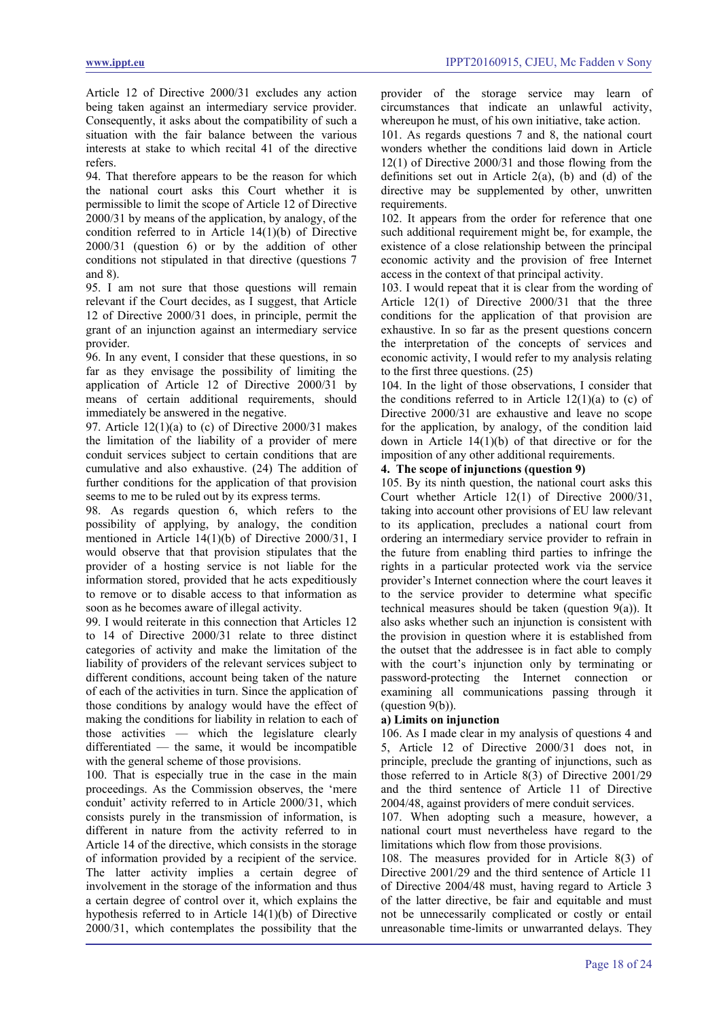Article 12 of Directive 2000/31 excludes any action being taken against an intermediary service provider. Consequently, it asks about the compatibility of such a situation with the fair balance between the various interests at stake to which recital 41 of the directive refers.

94. That therefore appears to be the reason for which the national court asks this Court whether it is permissible to limit the scope of Article 12 of Directive 2000/31 by means of the application, by analogy, of the condition referred to in Article 14(1)(b) of Directive 2000/31 (question 6) or by the addition of other conditions not stipulated in that directive (questions 7 and 8).

95. I am not sure that those questions will remain relevant if the Court decides, as I suggest, that Article 12 of Directive 2000/31 does, in principle, permit the grant of an injunction against an intermediary service provider.

96. In any event, I consider that these questions, in so far as they envisage the possibility of limiting the application of Article 12 of Directive 2000/31 by means of certain additional requirements, should immediately be answered in the negative.

97. Article  $12(1)(a)$  to (c) of Directive 2000/31 makes the limitation of the liability of a provider of mere conduit services subject to certain conditions that are cumulative and also exhaustive. (24) The addition of further conditions for the application of that provision seems to me to be ruled out by its express terms.

98. As regards question 6, which refers to the possibility of applying, by analogy, the condition mentioned in Article 14(1)(b) of Directive 2000/31, I would observe that that provision stipulates that the provider of a hosting service is not liable for the information stored, provided that he acts expeditiously to remove or to disable access to that information as soon as he becomes aware of illegal activity.

99. I would reiterate in this connection that Articles 12 to 14 of Directive 2000/31 relate to three distinct categories of activity and make the limitation of the liability of providers of the relevant services subject to different conditions, account being taken of the nature of each of the activities in turn. Since the application of those conditions by analogy would have the effect of making the conditions for liability in relation to each of those activities — which the legislature clearly differentiated — the same, it would be incompatible with the general scheme of those provisions.

<span id="page-17-0"></span>100. That is especially true in the case in the main proceedings. As the Commission observes, the 'mere conduit' activity referred to in Article 2000/31, which consists purely in the transmission of information, is different in nature from the activity referred to in Article 14 of the directive, which consists in the storage of information provided by a recipient of the service. The latter activity implies a certain degree of involvement in the storage of the information and thus a certain degree of control over it, which explains the hypothesis referred to in Article 14(1)(b) of Directive 2000/31, which contemplates the possibility that the provider of the storage service may learn of circumstances that indicate an unlawful activity, whereupon he must, of his own initiative, take action.

101. As regards questions 7 and 8, the national court wonders whether the conditions laid down in Article 12(1) of Directive 2000/31 and those flowing from the definitions set out in Article  $2(a)$ , (b) and (d) of the directive may be supplemented by other, unwritten requirements.

102. It appears from the order for reference that one such additional requirement might be, for example, the existence of a close relationship between the principal economic activity and the provision of free Internet access in the context of that principal activity.

103. I would repeat that it is clear from the wording of Article 12(1) of Directive 2000/31 that the three conditions for the application of that provision are exhaustive. In so far as the present questions concern the interpretation of the concepts of services and economic activity, I would refer to my analysis relating to the first three questions. (25)

104. In the light of those observations, I consider that the conditions referred to in Article  $12(1)(a)$  to (c) of Directive 2000/31 are exhaustive and leave no scope for the application, by analogy, of the condition laid down in Article 14(1)(b) of that directive or for the imposition of any other additional requirements.

# **4. The scope of injunctions (question 9)**

105. By its ninth question, the national court asks this Court whether Article 12(1) of Directive 2000/31, taking into account other provisions of EU law relevant to its application, precludes a national court from ordering an intermediary service provider to refrain in the future from enabling third parties to infringe the rights in a particular protected work via the service provider's Internet connection where the court leaves it to the service provider to determine what specific technical measures should be taken (question 9(a)). It also asks whether such an injunction is consistent with the provision in question where it is established from the outset that the addressee is in fact able to comply with the court's injunction only by terminating or password-protecting the Internet connection or examining all communications passing through it (question 9(b)).

## **a) Limits on injunction**

106. As I made clear in my analysis of questions 4 and 5, Article 12 of Directive 2000/31 does not, in principle, preclude the granting of injunctions, such as those referred to in Article 8(3) of Directive 2001/29 and the third sentence of Article 11 of Directive 2004/48, against providers of mere conduit services.

107. When adopting such a measure, however, a national court must nevertheless have regard to the limitations which flow from those provisions.

108. The measures provided for in Article 8(3) of Directive 2001/29 and the third sentence of Article 11 of Directive 2004/48 must, having regard to Article 3 of the latter directive, be fair and equitable and must not be unnecessarily complicated or costly or entail unreasonable time-limits or unwarranted delays. They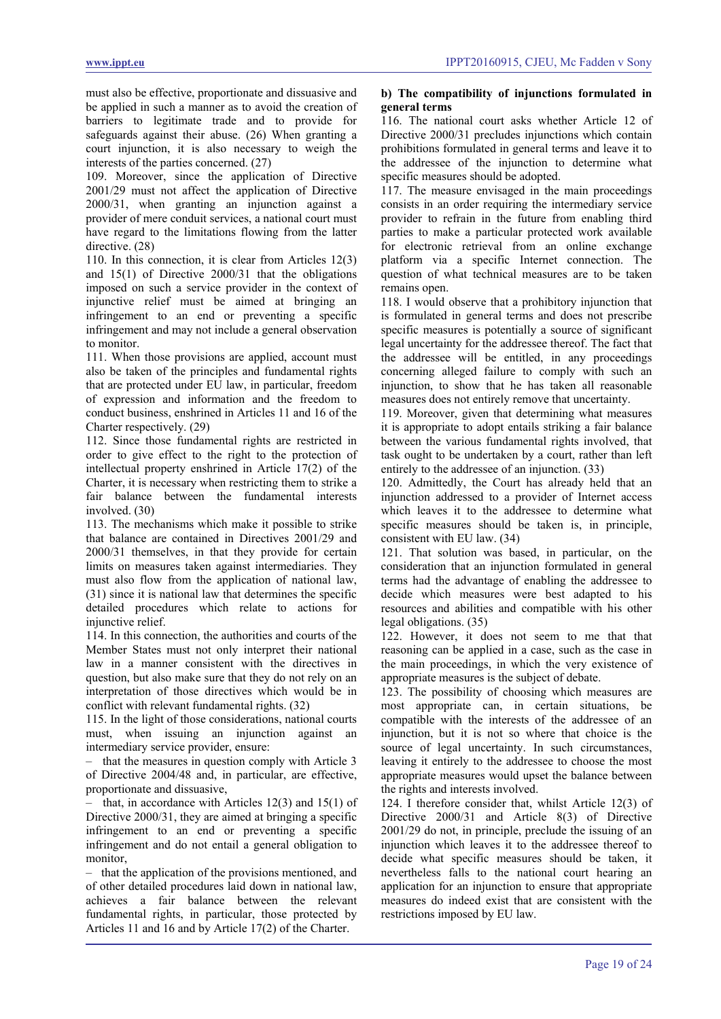must also be effective, proportionate and dissuasive and be applied in such a manner as to avoid the creation of barriers to legitimate trade and to provide for safeguards against their abuse. (26) When granting a court injunction, it is also necessary to weigh the interests of the parties concerned. (27)

109. Moreover, since the application of Directive 2001/29 must not affect the application of Directive 2000/31, when granting an injunction against a provider of mere conduit services, a national court must have regard to the limitations flowing from the latter directive. (28)

110. In this connection, it is clear from Articles 12(3) and 15(1) of Directive 2000/31 that the obligations imposed on such a service provider in the context of injunctive relief must be aimed at bringing an infringement to an end or preventing a specific infringement and may not include a general observation to monitor.

111. When those provisions are applied, account must also be taken of the principles and fundamental rights that are protected under EU law, in particular, freedom of expression and information and the freedom to conduct business, enshrined in Articles 11 and 16 of the Charter respectively. (29)

112. Since those fundamental rights are restricted in order to give effect to the right to the protection of intellectual property enshrined in Article 17(2) of the Charter, it is necessary when restricting them to strike a fair balance between the fundamental interests involved. (30)

113. The mechanisms which make it possible to strike that balance are contained in Directives 2001/29 and 2000/31 themselves, in that they provide for certain limits on measures taken against intermediaries. They must also flow from the application of national law, (31) since it is national law that determines the specific detailed procedures which relate to actions for injunctive relief.

114. In this connection, the authorities and courts of the Member States must not only interpret their national law in a manner consistent with the directives in question, but also make sure that they do not rely on an interpretation of those directives which would be in conflict with relevant fundamental rights. (32)

115. In the light of those considerations, national courts must, when issuing an injunction against an intermediary service provider, ensure:

– that the measures in question comply with Article 3 of Directive 2004/48 and, in particular, are effective, proportionate and dissuasive,

– that, in accordance with Articles 12(3) and 15(1) of Directive 2000/31, they are aimed at bringing a specific infringement to an end or preventing a specific infringement and do not entail a general obligation to monitor,

– that the application of the provisions mentioned, and of other detailed procedures laid down in national law, achieves a fair balance between the relevant fundamental rights, in particular, those protected by Articles 11 and 16 and by Article 17(2) of the Charter.

# **b) The compatibility of injunctions formulated in general terms**

116. The national court asks whether Article 12 of Directive 2000/31 precludes injunctions which contain prohibitions formulated in general terms and leave it to the addressee of the injunction to determine what specific measures should be adopted.

117. The measure envisaged in the main proceedings consists in an order requiring the intermediary service provider to refrain in the future from enabling third parties to make a particular protected work available for electronic retrieval from an online exchange platform via a specific Internet connection. The question of what technical measures are to be taken remains open.

118. I would observe that a prohibitory injunction that is formulated in general terms and does not prescribe specific measures is potentially a source of significant legal uncertainty for the addressee thereof. The fact that the addressee will be entitled, in any proceedings concerning alleged failure to comply with such an injunction, to show that he has taken all reasonable measures does not entirely remove that uncertainty.

119. Moreover, given that determining what measures it is appropriate to adopt entails striking a fair balance between the various fundamental rights involved, that task ought to be undertaken by a court, rather than left entirely to the addressee of an injunction. (33)

120. Admittedly, the Court has already held that an injunction addressed to a provider of Internet access which leaves it to the addressee to determine what specific measures should be taken is, in principle, consistent with EU law. (34)

121. That solution was based, in particular, on the consideration that an injunction formulated in general terms had the advantage of enabling the addressee to decide which measures were best adapted to his resources and abilities and compatible with his other legal obligations. (35)

122. However, it does not seem to me that that reasoning can be applied in a case, such as the case in the main proceedings, in which the very existence of appropriate measures is the subject of debate.

123. The possibility of choosing which measures are most appropriate can, in certain situations, be compatible with the interests of the addressee of an injunction, but it is not so where that choice is the source of legal uncertainty. In such circumstances, leaving it entirely to the addressee to choose the most appropriate measures would upset the balance between the rights and interests involved.

124. I therefore consider that, whilst Article 12(3) of Directive 2000/31 and Article 8(3) of Directive 2001/29 do not, in principle, preclude the issuing of an injunction which leaves it to the addressee thereof to decide what specific measures should be taken, it nevertheless falls to the national court hearing an application for an injunction to ensure that appropriate measures do indeed exist that are consistent with the restrictions imposed by EU law.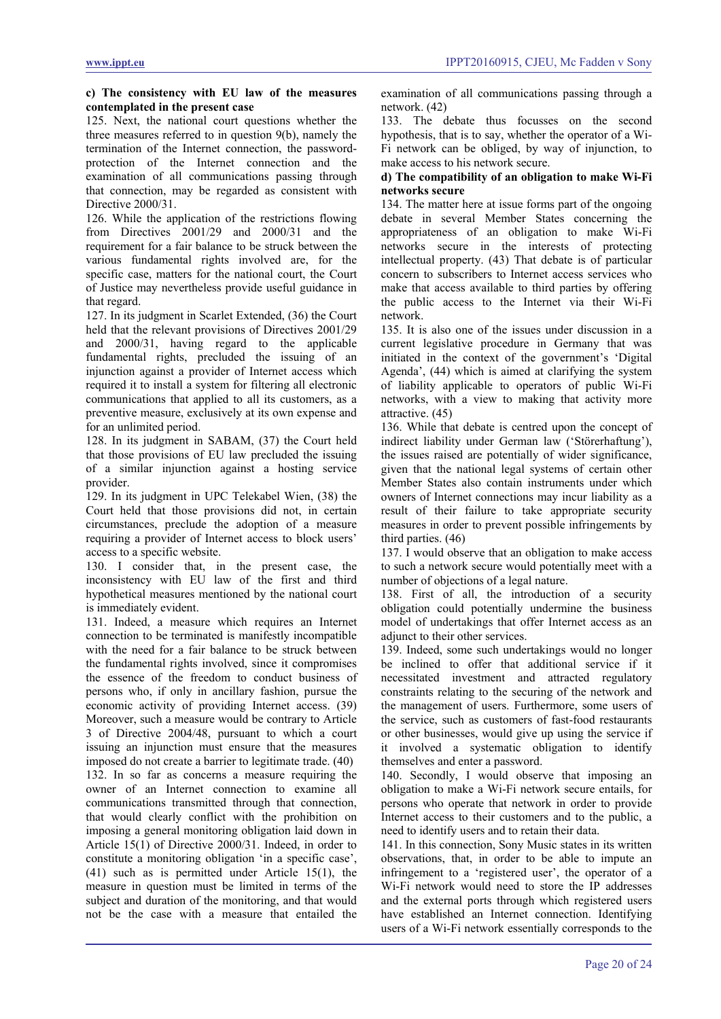## **c) The consistency with EU law of the measures contemplated in the present case**

125. Next, the national court questions whether the three measures referred to in question 9(b), namely the termination of the Internet connection, the passwordprotection of the Internet connection and the examination of all communications passing through that connection, may be regarded as consistent with Directive 2000/31.

126. While the application of the restrictions flowing from Directives 2001/29 and 2000/31 and the requirement for a fair balance to be struck between the various fundamental rights involved are, for the specific case, matters for the national court, the Court of Justice may nevertheless provide useful guidance in that regard.

127. In its judgment in Scarlet Extended, (36) the Court held that the relevant provisions of Directives 2001/29 and 2000/31, having regard to the applicable fundamental rights, precluded the issuing of an injunction against a provider of Internet access which required it to install a system for filtering all electronic communications that applied to all its customers, as a preventive measure, exclusively at its own expense and for an unlimited period.

128. In its judgment in SABAM, (37) the Court held that those provisions of EU law precluded the issuing of a similar injunction against a hosting service provider.

129. In its judgment in UPC Telekabel Wien, (38) the Court held that those provisions did not, in certain circumstances, preclude the adoption of a measure requiring a provider of Internet access to block users' access to a specific website.

130. I consider that, in the present case, the inconsistency with EU law of the first and third hypothetical measures mentioned by the national court is immediately evident.

131. Indeed, a measure which requires an Internet connection to be terminated is manifestly incompatible with the need for a fair balance to be struck between the fundamental rights involved, since it compromises the essence of the freedom to conduct business of persons who, if only in ancillary fashion, pursue the economic activity of providing Internet access. (39) Moreover, such a measure would be contrary to Article 3 of Directive 2004/48, pursuant to which a court issuing an injunction must ensure that the measures imposed do not create a barrier to legitimate trade. (40) 132. In so far as concerns a measure requiring the owner of an Internet connection to examine all communications transmitted through that connection, that would clearly conflict with the prohibition on imposing a general monitoring obligation laid down in Article 15(1) of Directive 2000/31. Indeed, in order to constitute a monitoring obligation 'in a specific case', (41) such as is permitted under Article 15(1), the measure in question must be limited in terms of the subject and duration of the monitoring, and that would not be the case with a measure that entailed the

examination of all communications passing through a network. (42)

133. The debate thus focusses on the second hypothesis, that is to say, whether the operator of a Wi-Fi network can be obliged, by way of injunction, to make access to his network secure.

# **d) The compatibility of an obligation to make Wi-Fi networks secure**

134. The matter here at issue forms part of the ongoing debate in several Member States concerning the appropriateness of an obligation to make Wi-Fi networks secure in the interests of protecting intellectual property. (43) That debate is of particular concern to subscribers to Internet access services who make that access available to third parties by offering the public access to the Internet via their Wi-Fi network.

135. It is also one of the issues under discussion in a current legislative procedure in Germany that was initiated in the context of the government's 'Digital Agenda', (44) which is aimed at clarifying the system of liability applicable to operators of public Wi-Fi networks, with a view to making that activity more attractive. (45)

136. While that debate is centred upon the concept of indirect liability under German law ('Störerhaftung'), the issues raised are potentially of wider significance, given that the national legal systems of certain other Member States also contain instruments under which owners of Internet connections may incur liability as a result of their failure to take appropriate security measures in order to prevent possible infringements by third parties. (46)

137. I would observe that an obligation to make access to such a network secure would potentially meet with a number of objections of a legal nature.

138. First of all, the introduction of a security obligation could potentially undermine the business model of undertakings that offer Internet access as an adjunct to their other services.

139. Indeed, some such undertakings would no longer be inclined to offer that additional service if it necessitated investment and attracted regulatory constraints relating to the securing of the network and the management of users. Furthermore, some users of the service, such as customers of fast-food restaurants or other businesses, would give up using the service if it involved a systematic obligation to identify themselves and enter a password.

140. Secondly, I would observe that imposing an obligation to make a Wi-Fi network secure entails, for persons who operate that network in order to provide Internet access to their customers and to the public, a need to identify users and to retain their data.

141. In this connection, Sony Music states in its written observations, that, in order to be able to impute an infringement to a 'registered user', the operator of a Wi-Fi network would need to store the IP addresses and the external ports through which registered users have established an Internet connection. Identifying users of a Wi-Fi network essentially corresponds to the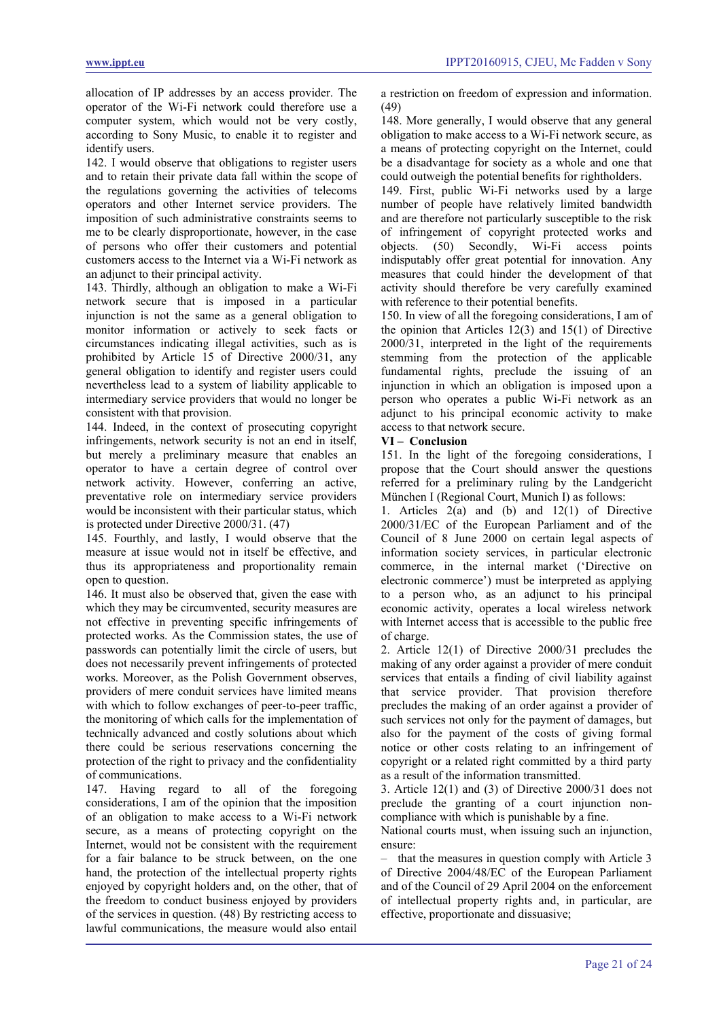allocation of IP addresses by an access provider. The operator of the Wi-Fi network could therefore use a computer system, which would not be very costly, according to Sony Music, to enable it to register and identify users.

142. I would observe that obligations to register users and to retain their private data fall within the scope of the regulations governing the activities of telecoms operators and other Internet service providers. The imposition of such administrative constraints seems to me to be clearly disproportionate, however, in the case of persons who offer their customers and potential customers access to the Internet via a Wi-Fi network as an adjunct to their principal activity.

143. Thirdly, although an obligation to make a Wi-Fi network secure that is imposed in a particular injunction is not the same as a general obligation to monitor information or actively to seek facts or circumstances indicating illegal activities, such as is prohibited by Article 15 of Directive 2000/31, any general obligation to identify and register users could nevertheless lead to a system of liability applicable to intermediary service providers that would no longer be consistent with that provision.

144. Indeed, in the context of prosecuting copyright infringements, network security is not an end in itself, but merely a preliminary measure that enables an operator to have a certain degree of control over network activity. However, conferring an active, preventative role on intermediary service providers would be inconsistent with their particular status, which is protected under Directive 2000/31. (47)

145. Fourthly, and lastly, I would observe that the measure at issue would not in itself be effective, and thus its appropriateness and proportionality remain open to question.

146. It must also be observed that, given the ease with which they may be circumvented, security measures are not effective in preventing specific infringements of protected works. As the Commission states, the use of passwords can potentially limit the circle of users, but does not necessarily prevent infringements of protected works. Moreover, as the Polish Government observes, providers of mere conduit services have limited means with which to follow exchanges of peer-to-peer traffic, the monitoring of which calls for the implementation of technically advanced and costly solutions about which there could be serious reservations concerning the protection of the right to privacy and the confidentiality of communications.

147. Having regard to all of the foregoing considerations, I am of the opinion that the imposition of an obligation to make access to a Wi-Fi network secure, as a means of protecting copyright on the Internet, would not be consistent with the requirement for a fair balance to be struck between, on the one hand, the protection of the intellectual property rights enjoyed by copyright holders and, on the other, that of the freedom to conduct business enjoyed by providers of the services in question. (48) By restricting access to lawful communications, the measure would also entail

a restriction on freedom of expression and information. (49)

148. More generally, I would observe that any general obligation to make access to a Wi-Fi network secure, as a means of protecting copyright on the Internet, could be a disadvantage for society as a whole and one that could outweigh the potential benefits for rightholders.

149. First, public Wi-Fi networks used by a large number of people have relatively limited bandwidth and are therefore not particularly susceptible to the risk of infringement of copyright protected works and objects. (50) Secondly, Wi-Fi access points indisputably offer great potential for innovation. Any measures that could hinder the development of that activity should therefore be very carefully examined with reference to their potential benefits.

150. In view of all the foregoing considerations, I am of the opinion that Articles  $12(3)$  and  $15(1)$  of Directive 2000/31, interpreted in the light of the requirements stemming from the protection of the applicable fundamental rights, preclude the issuing of an injunction in which an obligation is imposed upon a person who operates a public Wi-Fi network as an adjunct to his principal economic activity to make access to that network secure.

# **VI – Conclusion**

151. In the light of the foregoing considerations, I propose that the Court should answer the questions referred for a preliminary ruling by the Landgericht München I (Regional Court, Munich I) as follows:

1. Articles 2(a) and (b) and 12(1) of Directive 2000/31/EC of the European Parliament and of the Council of 8 June 2000 on certain legal aspects of information society services, in particular electronic commerce, in the internal market ('Directive on electronic commerce') must be interpreted as applying to a person who, as an adjunct to his principal economic activity, operates a local wireless network with Internet access that is accessible to the public free of charge.

2. Article 12(1) of Directive 2000/31 precludes the making of any order against a provider of mere conduit services that entails a finding of civil liability against that service provider. That provision therefore precludes the making of an order against a provider of such services not only for the payment of damages, but also for the payment of the costs of giving formal notice or other costs relating to an infringement of copyright or a related right committed by a third party as a result of the information transmitted.

3. Article 12(1) and (3) of Directive 2000/31 does not preclude the granting of a court injunction noncompliance with which is punishable by a fine.

National courts must, when issuing such an injunction, ensure:

– that the measures in question comply with Article 3 of Directive 2004/48/EC of the European Parliament and of the Council of 29 April 2004 on the enforcement of intellectual property rights and, in particular, are effective, proportionate and dissuasive;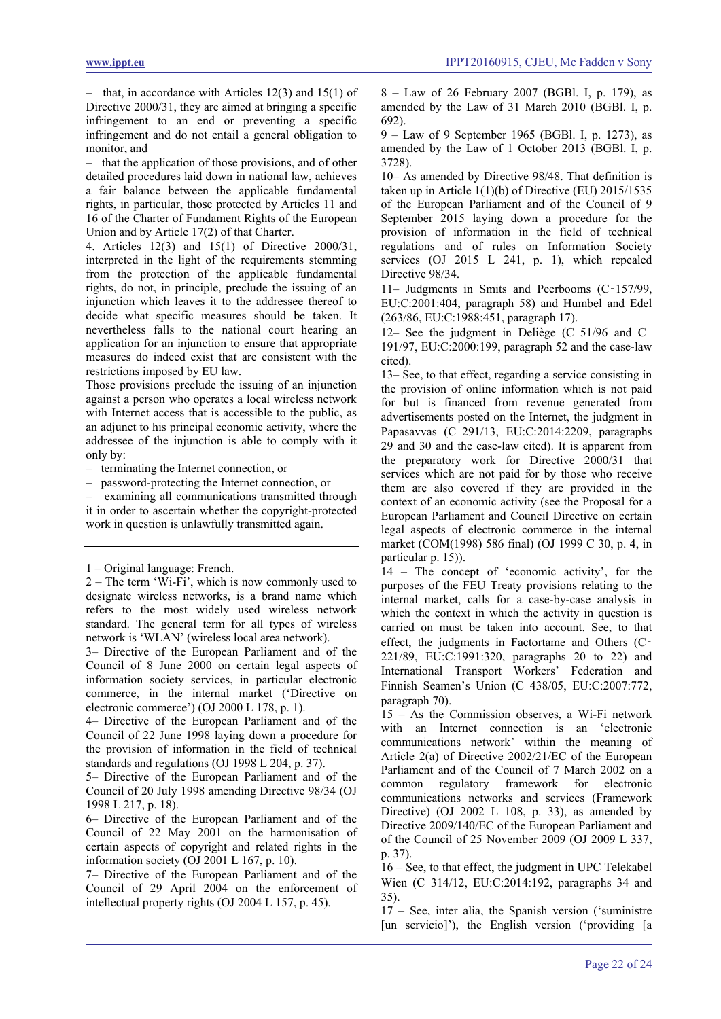– that, in accordance with Articles 12(3) and 15(1) of Directive 2000/31, they are aimed at bringing a specific infringement to an end or preventing a specific infringement and do not entail a general obligation to monitor, and

– that the application of those provisions, and of other detailed procedures laid down in national law, achieves a fair balance between the applicable fundamental rights, in particular, those protected by Articles 11 and 16 of the Charter of Fundament Rights of the European Union and by Article 17(2) of that Charter.

4. Articles 12(3) and 15(1) of Directive 2000/31, interpreted in the light of the requirements stemming from the protection of the applicable fundamental rights, do not, in principle, preclude the issuing of an injunction which leaves it to the addressee thereof to decide what specific measures should be taken. It nevertheless falls to the national court hearing an application for an injunction to ensure that appropriate measures do indeed exist that are consistent with the restrictions imposed by EU law.

Those provisions preclude the issuing of an injunction against a person who operates a local wireless network with Internet access that is accessible to the public, as an adjunct to his principal economic activity, where the addressee of the injunction is able to comply with it only by:

- terminating the Internet connection, or
- password-protecting the Internet connection, or

examining all communications transmitted through it in order to ascertain whether the copyright-protected work in question is unlawfully transmitted again.

3– Directive of the European Parliament and of the Council of 8 June 2000 on certain legal aspects of information society services, in particular electronic commerce, in the internal market ('Directive on electronic commerce') (OJ 2000 L 178, p. 1).

4– Directive of the European Parliament and of the Council of 22 June 1998 laying down a procedure for the provision of information in the field of technical standards and regulations (OJ 1998 L 204, p. 37).

5– Directive of the European Parliament and of the Council of 20 July 1998 amending Directive 98/34 (OJ 1998 L 217, p. 18).

6– Directive of the European Parliament and of the Council of 22 May 2001 on the harmonisation of certain aspects of copyright and related rights in the information society (OJ 2001 L 167, p. 10).

7– Directive of the European Parliament and of the Council of 29 April 2004 on the enforcement of intellectual property rights (OJ 2004 L 157, p. 45).

8 – Law of 26 February 2007 (BGBl. I, p. 179), as amended by the Law of 31 March 2010 (BGBl. I, p. 692).

9 – Law of 9 September 1965 (BGBl. I, p. 1273), as amended by the Law of 1 October 2013 (BGBl. I, p. 3728).

10– As amended by Directive 98/48. That definition is taken up in Article  $1(1)(b)$  of Directive (EU) 2015/1535 of the European Parliament and of the Council of 9 September 2015 laying down a procedure for the provision of information in the field of technical regulations and of rules on Information Society services (OJ 2015 L 241, p. 1), which repealed Directive 98/34.

11– Judgments in Smits and Peerbooms (C‑157/99, EU:C:2001:404, paragraph 58) and Humbel and Edel (263/86, EU:C:1988:451, paragraph 17).

12– See the judgment in Deliège (C‑51/96 and C‑ 191/97, EU:C:2000:199, paragraph 52 and the case-law cited).

13– See, to that effect, regarding a service consisting in the provision of online information which is not paid for but is financed from revenue generated from advertisements posted on the Internet, the judgment in Papasavvas (C‑291/13, EU:C:2014:2209, paragraphs 29 and 30 and the case-law cited). It is apparent from the preparatory work for Directive 2000/31 that services which are not paid for by those who receive them are also covered if they are provided in the context of an economic activity (see the Proposal for a European Parliament and Council Directive on certain legal aspects of electronic commerce in the internal market (COM(1998) 586 final) (OJ 1999 C 30, p. 4, in particular p. 15)).

14 – The concept of 'economic activity', for the purposes of the FEU Treaty provisions relating to the internal market, calls for a case-by-case analysis in which the context in which the activity in question is carried on must be taken into account. See, to that effect, the judgments in Factortame and Others (C‑ 221/89, EU:C:1991:320, paragraphs 20 to 22) and International Transport Workers' Federation and Finnish Seamen's Union (C‑438/05, EU:C:2007:772, paragraph 70).

15 – As the Commission observes, a Wi-Fi network with an Internet connection is an 'electronic communications network' within the meaning of Article 2(a) of Directive 2002/21/EC of the European Parliament and of the Council of 7 March 2002 on a common regulatory framework for electronic communications networks and services (Framework Directive) (OJ 2002 L 108, p. 33), as amended by Directive 2009/140/EC of the European Parliament and of the Council of 25 November 2009 (OJ 2009 L 337, p. 37).

16 – See, to that effect, the judgment in UPC Telekabel Wien (C-314/12, EU:C:2014:192, paragraphs 34 and 35).

17 – See, inter alia, the Spanish version ('suministre [un servicio]'), the English version ('providing [a

<sup>1 –</sup> Original language: French.

<sup>2 –</sup> The term 'Wi-Fi', which is now commonly used to designate wireless networks, is a brand name which refers to the most widely used wireless network standard. The general term for all types of wireless network is 'WLAN' (wireless local area network).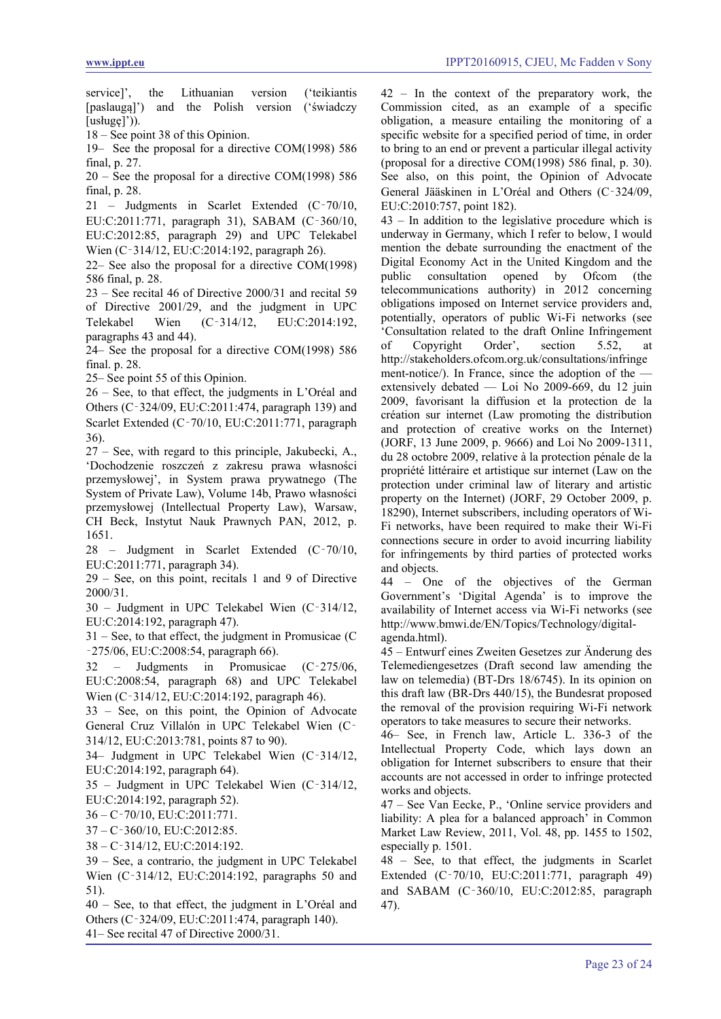service]', the Lithuanian version ('teikiantis [paslaugą]') and the Polish version ('świadczy [usługę]')).

18 – See point 38 of this Opinion.

19– See the proposal for a directive COM(1998) 586 final, p. 27.

20 – See the proposal for a directive COM(1998) 586 final, p. 28.

21 – Judgments in Scarlet Extended (C‑70/10, EU:C:2011:771, paragraph 31), SABAM (C‑360/10, EU:C:2012:85, paragraph 29) and UPC Telekabel

Wien (C-314/12, EU:C:2014:192, paragraph 26).

22– See also the proposal for a directive COM(1998) 586 final, p. 28.

23 – See recital 46 of Directive 2000/31 and recital 59 of Directive 2001/29, and the judgment in UPC Telekabel Wien (C-314/12, EU:C:2014:192, paragraphs 43 and 44).

24– See the proposal for a directive COM(1998) 586 final. p. 28.

25– See point 55 of this Opinion.

26 – See, to that effect, the judgments in L'Oréal and Others (C‑324/09, EU:C:2011:474, paragraph 139) and Scarlet Extended (C‑70/10, EU:C:2011:771, paragraph 36).

27 – See, with regard to this principle, Jakubecki, A., 'Dochodzenie roszczeń z zakresu prawa własności przemysłowej', in System prawa prywatnego (The System of Private Law), Volume 14b, Prawo własności przemysłowej (Intellectual Property Law), Warsaw, CH Beck, Instytut Nauk Prawnych PAN, 2012, p. 1651.

28 – Judgment in Scarlet Extended (C‑70/10, EU:C:2011:771, paragraph 34).

29 – See, on this point, recitals 1 and 9 of Directive 2000/31.

30 – Judgment in UPC Telekabel Wien (C‑314/12, EU:C:2014:192, paragraph 47).

31 – See, to that effect, the judgment in Promusicae (C ‑275/06, EU:C:2008:54, paragraph 66).

32 – Judgments in Promusicae (C‑275/06, EU:C:2008:54, paragraph 68) and UPC Telekabel Wien (C-314/12, EU:C:2014:192, paragraph 46).

33 – See, on this point, the Opinion of Advocate General Cruz Villalón in UPC Telekabel Wien (C‑ 314/12, EU:C:2013:781, points 87 to 90).

34– Judgment in UPC Telekabel Wien (C‑314/12, EU:C:2014:192, paragraph 64).

35 – Judgment in UPC Telekabel Wien (C‑314/12, EU:C:2014:192, paragraph 52).

36 – C‑70/10, EU:C:2011:771.

37 – C‑360/10, EU:C:2012:85.

38 – C‑314/12, EU:C:2014:192.

39 – See, a contrario, the judgment in UPC Telekabel Wien (C-314/12, EU:C:2014:192, paragraphs 50 and 51).

40 – See, to that effect, the judgment in L'Oréal and Others (C‑324/09, EU:C:2011:474, paragraph 140). 41– See recital 47 of Directive 2000/31.

42 – In the context of the preparatory work, the Commission cited, as an example of a specific obligation, a measure entailing the monitoring of a specific website for a specified period of time, in order to bring to an end or prevent a particular illegal activity (proposal for a directive COM(1998) 586 final, p. 30). See also, on this point, the Opinion of Advocate General Jääskinen in L'Oréal and Others (C‑324/09, EU:C:2010:757, point 182).

43 – In addition to the legislative procedure which is underway in Germany, which I refer to below, I would mention the debate surrounding the enactment of the Digital Economy Act in the United Kingdom and the public consultation opened by Ofcom (the telecommunications authority) in 2012 concerning obligations imposed on Internet service providers and, potentially, operators of public Wi-Fi networks (see 'Consultation related to the draft Online Infringement of Copyright Order', section 5.52, http://stakeholders.ofcom.org.uk/consultations/infringe ment-notice/). In France, since the adoption of the extensively debated — Loi No 2009-669, du 12 juin 2009, favorisant la diffusion et la protection de la création sur internet (Law promoting the distribution and protection of creative works on the Internet) (JORF, 13 June 2009, p. 9666) and Loi No 2009-1311, du 28 octobre 2009, relative à la protection pénale de la propriété littéraire et artistique sur internet (Law on the protection under criminal law of literary and artistic property on the Internet) (JORF, 29 October 2009, p. 18290), Internet subscribers, including operators of Wi-Fi networks, have been required to make their Wi-Fi connections secure in order to avoid incurring liability for infringements by third parties of protected works and objects.

44 – One of the objectives of the German Government's 'Digital Agenda' is to improve the availability of Internet access via Wi-Fi networks (see http://www.bmwi.de/EN/Topics/Technology/digitalagenda.html).

45 – Entwurf eines Zweiten Gesetzes zur Änderung des Telemediengesetzes (Draft second law amending the law on telemedia) (BT-Drs 18/6745). In its opinion on this draft law (BR-Drs 440/15), the Bundesrat proposed the removal of the provision requiring Wi-Fi network operators to take measures to secure their networks.

46– See, in French law, Article L. 336-3 of the Intellectual Property Code, which lays down an obligation for Internet subscribers to ensure that their accounts are not accessed in order to infringe protected works and objects.

47 – See Van Eecke, P., 'Online service providers and liability: A plea for a balanced approach' in Common Market Law Review, 2011, Vol. 48, pp. 1455 to 1502, especially p. 1501.

48 – See, to that effect, the judgments in Scarlet Extended (C‑70/10, EU:C:2011:771, paragraph 49) and SABAM (C‑360/10, EU:C:2012:85, paragraph 47).